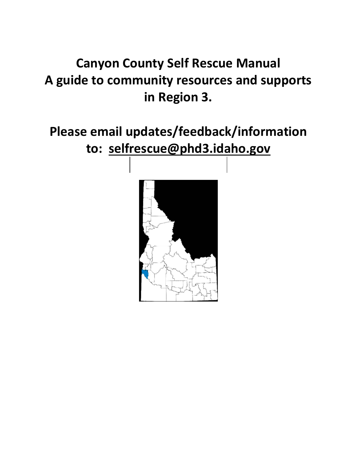# **Canyon County Self Rescue Manual A guide to community resources and supports in Region 3.**

**Please email updates/feedback/information to: [selfrescue@phd3.idaho.gov](mailto:selfrescue@phd3.idaho.gov)**

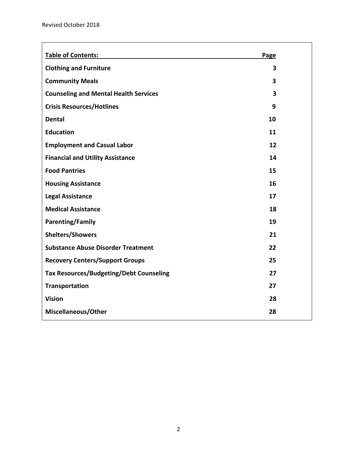| <b>Table of Contents:</b>                      | Page                    |  |
|------------------------------------------------|-------------------------|--|
| <b>Clothing and Furniture</b>                  | 3                       |  |
| <b>Community Meals</b>                         | $\overline{\mathbf{3}}$ |  |
| <b>Counseling and Mental Health Services</b>   | $\overline{\mathbf{3}}$ |  |
| <b>Crisis Resources/Hotlines</b>               | 9                       |  |
| <b>Dental</b>                                  | 10                      |  |
| <b>Education</b>                               | 11                      |  |
| <b>Employment and Casual Labor</b>             | 12                      |  |
| <b>Financial and Utility Assistance</b>        | 14                      |  |
| <b>Food Pantries</b>                           | 15                      |  |
| <b>Housing Assistance</b>                      | 16                      |  |
| <b>Legal Assistance</b>                        | 17                      |  |
| <b>Medical Assistance</b>                      | 18                      |  |
| <b>Parenting/Family</b>                        | 19                      |  |
| <b>Shelters/Showers</b>                        | 21                      |  |
| <b>Substance Abuse Disorder Treatment</b>      | 22                      |  |
| <b>Recovery Centers/Support Groups</b>         | 25                      |  |
| <b>Tax Resources/Budgeting/Debt Counseling</b> | 27                      |  |
| <b>Transportation</b>                          | 27                      |  |
| <b>Vision</b>                                  | 28                      |  |
| Miscellaneous/Other                            | 28                      |  |
|                                                |                         |  |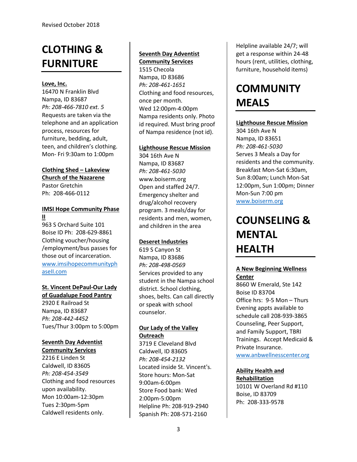# **CLOTHING & FURNITURE**

#### **Love, Inc.**

16470 N Franklin Blvd Nampa, ID 83687 *Ph: 208-466-7810 ext. 5* Requests are taken via the telephone and an application process, resources for furniture, bedding, adult, teen, and children's clothing. Mon- Fri 9:30am to 1:00pm

# **Clothing Shed – Lakeview Church of the Nazarene**

Pastor Gretchin Ph: 208-466-0112

# **IMSI Hope Community Phase II**

963 S Orchard Suite 101 Boise ID Ph: 208-629-8861 Clothing voucher/housing /employment/bus passes for those out of incarceration. [www.imsihopecommunityph](http://www.imsihopecommunityphaseii.com/) [aseII.com](http://www.imsihopecommunityphaseii.com/)

# **St. Vincent DePaul-Our Lady**

**of Guadalupe Food Pantry** 2920 E Railroad St Nampa, ID 83687 *Ph: 208-442-4452* Tues/Thur 3:00pm to 5:00pm

# **Seventh Day Adventist**

**Community Services**

2216 E Linden St Caldwell, ID 83605 *Ph: 208-454-3549* Clothing and food resources upon availability. Mon 10:00am-12:30pm Tues 2:30pm-5pm Caldwell residents only.

### **Seventh Day Adventist Community Services**

1515 Checola Nampa, ID 83686 *Ph: 208-461-1651* Clothing and food resources, once per month. Wed 12:00pm-4:00pm Nampa residents only. Photo id required. Must bring proof of Nampa residence (not id).

#### **Lighthouse Rescue Mission**

304 16th Ave N Nampa, ID 83687 *Ph: 208-461-5030* www.boiserm.org Open and staffed 24/7. Emergency shelter and drug/alcohol recovery program. 3 meals/day for residents and men, women, and children in the area

# **Deseret Industries**

619 S Canyon St Nampa, ID 83686 *Ph: 208-498-0569* Services provided to any student in the Nampa school district. School clothing, shoes, belts. Can call directly or speak with school counselor.

# **Our Lady of the Valley Outreach**

3719 E Cleveland Blvd Caldwell, ID 83605 *Ph: 208-454-2132* Located inside St. Vincent's. Store hours: Mon-Sat 9:00am-6:00pm Store Food bank: Wed 2:00pm-5:00pm Helpline Ph: 208-919-2940 Spanish Ph: 208-571-2160

Helpline available 24/7; will get a response within 24-48 hours (rent, utilities, clothing, furniture, household items)

# **COMMUNITY MEALS**

# **Lighthouse Rescue Mission**

304 16th Ave N Nampa, ID 83651 *Ph: 208-461-5030* Serves 3 Meals a Day for residents and the community. Breakfast Mon-Sat 6:30am, Sun 8:00am; Lunch Mon-Sat 12:00pm, Sun 1:00pm; Dinner Mon-Sun 7:00 pm [www.boiserm.org](http://www.boiserm.org/)

# **COUNSELING & MENTAL HEALTH**

# **A New Beginning Wellness Center**

8660 W Emerald, Ste 142 Boise ID 83704 Office hrs: 9-5 Mon – Thurs Evening appts available to schedule call 208-939-3865 Counseling, Peer Support, and Family Support, TBRI Trainings. Accept Medicaid & Private Insurance.

[www.anbwellnesscenter.org](http://www.anbwellnesscenter.org/)

# **Ability Health and Rehabilitation**

10101 W Overland Rd #110 Boise, ID 83709 Ph: 208-333-9578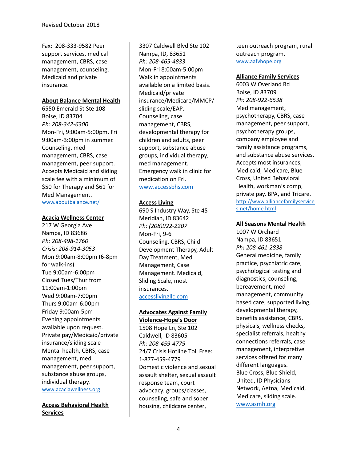Fax: 208-333-9582 Peer support services, medical management, CBRS, case management, counseling. Medicaid and private insurance.

### **About Balance Mental Health**

6550 Emerald St Ste 108 Boise, ID 83704 *Ph: 208-342-6300* Mon-Fri, 9:00am-5:00pm, Fri 9:00am-3:00pm in summer. Counseling, med management, CBRS, case management, peer support. Accepts Medicaid and sliding scale fee with a minimum of \$50 for Therapy and \$61 for Med Management. [www.aboutbalance.net/](http://www.aboutbalance.net/)

#### **Acacia Wellness Center**

217 W Georgia Ave Nampa, ID 83686 *Ph: 208-498-1760 Crisis: 208-914-3053* Mon 9:00am-8:00pm (6-8pm for walk-ins) Tue 9:00am-6:00pm Closed Tues/Thur from 11:00am-1:00pm Wed 9:00am-7:00pm Thurs 9:00am-6:00pm Friday 9:00am-5pm Evening appointments available upon request. Private pay/Medicaid/private insurance/sliding scale Mental health, CBRS, case management, med management, peer support, substance abuse groups, individual therapy. [www.acaciawellness.org](http://www.acaciawellness.org/)

**Access Behavioral Health Services**

3307 Caldwell Blvd Ste 102 Nampa, ID, 83651 *Ph: 208-465-4833*  Mon-Fri 8:00am-5:00pm Walk in appointments available on a limited basis. Medicaid/private insurance/Medicare/MMCP/ sliding scale/EAP. Counseling, case management, CBRS, developmental therapy for children and adults, peer support, substance abuse groups, individual therapy, med management. Emergency walk in clinic for medication on Fri. [www.accessbhs.com](http://www.accessbhs.com/)

#### **Access Living**

690 S Industry Way, Ste 45 Meridian, ID 83642 *Ph: (208)922-2207*  Mon-Fri, 9-6 Counseling, CBRS, Child Development Therapy, Adult Day Treatment, Med Management, Case Management. Medicaid, Sliding Scale, most insurances. [accesslivingllc.com](http://accesslivingllc.com/)

#### **Advocates Against Family Violence-Hope's Door**

1508 Hope Ln, Ste 102 Caldwell, ID 83605 *Ph: 208-459-4779* 24/7 Crisis Hotline Toll Free: 1-877-459-4779 Domestic violence and sexual assault shelter, sexual assault response team, court advocacy, groups/classes, counseling, safe and sober housing, childcare center,

teen outreach program, rural outreach program. [www.aafvhope.org](http://www.aafvhope.org/)

### **Alliance Family Services**

6003 W Overland Rd Boise, ID 83709 *Ph: 208-922-6538* Med management, psychotherapy, CBRS, case management, peer support, psychotherapy groups, company employee and family assistance programs, and substance abuse services. Accepts most insurances, Medicaid, Medicare, Blue Cross, United Behavioral Health, workman's comp, private pay, BPA, and Tricare. [http://www.alliancefamilyservice](http://www.alliancefamilyservices.net/home.html) [s.net/home.html](http://www.alliancefamilyservices.net/home.html)

## **All Seasons Mental Health**

1007 W Orchard Nampa, ID 83651 *Ph: 208-461-2838* General medicine, family practice, psychiatric care, psychological testing and diagnostics, counseling, bereavement, med management, community based care, supported living, developmental therapy, benefits assistance, CBRS, physicals, wellness checks, specialist referrals, healthy connections referrals, case management, interpretive services offered for many different languages. Blue Cross, Blue Shield, United, ID Physicians Network, Aetna, Medicaid, Medicare, sliding scale. [www.asmh.org](http://www.asmh.org/)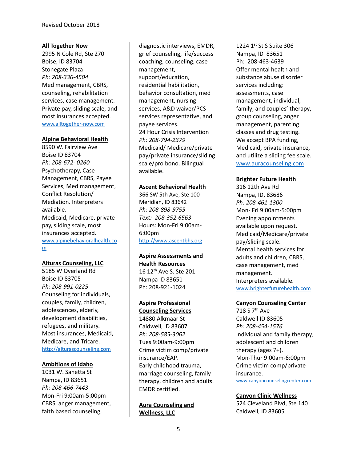#### **All Together Now**

2995 N Cole Rd, Ste 270 Boise, ID 83704 Stonegate Plaza *Ph: 208-336-4504* Med management, CBRS, counseling, rehabilitation services, case management. Private pay, sliding scale, and most insurances accepted. [www.alltogether-now.com](http://www.alltogether-now.com/)

#### **Alpine Behavioral Health**

8590 W. Fairview Ave Boise ID 83704 *Ph: 208-672- 0260*  Psychotherapy, Case Management, CBRS, Payee Services, Med management, Conflict Resolution/ Mediation. Interpreters available. Medicaid, Medicare, private pay, sliding scale, most insurances accepted. [www.alpinebehavioralhealth.co](http://www.alpinebehavioralhealth.com/) [m](http://www.alpinebehavioralhealth.com/)

#### **Alturas Counseling, LLC**

5185 W Overland Rd Boise ID 83705 *Ph: 208-991-0225* Counseling for individuals, couples, family, children, adolescences, elderly, development disabilities, refugees, and military. Most insurances, Medicaid, Medicare, and Tricare. [http://alturascounseling.com](http://alturascounseling.com/)

#### **Ambitions of Idaho**

1031 W. Sanetta St Nampa, ID 83651 *Ph: 208-466-7443*  Mon-Fri 9:00am-5:00pm CBRS, anger management, faith based counseling,

diagnostic interviews, EMDR, grief counseling, life/success coaching, counseling, case management, support/education, residential habilitation, behavior consultation, med management, nursing services, A&D waiver/PCS services representative, and payee services. 24 Hour Crisis Intervention *Ph: 208-794-2379* Medicaid/ Medicare/private pay/private insurance/sliding scale/pro bono. Bilingual available.

#### **Ascent Behavioral Health**

366 SW 5th Ave, Ste 100 Meridian, ID 83642 *Ph: 208-898-9755 Text: 208-352-6563* Hours: Mon-Fri 9:00am-6:00pm [http://www.ascentbhs.org](http://www.ascentbhs.org/)

# **Aspire Assessments and**

**Health Resources** 16 12<sup>th</sup> Ave S. Ste 201 Nampa ID 83651 Ph: 208-921-1024

#### **Aspire Professional**

**Counseling Services** 14880 Alkmaar St Caldwell, ID 83607 *Ph: 208-585-3062* Tues 9:00am-9:00pm Crime victim comp/private insurance/EAP. Early childhood trauma, marriage counseling, family therapy, children and adults. EMDR certified.

**Aura Counseling and Wellness, LLC**

1224 1st St S Suite 306 Nampa, ID 83651 Ph: 208-463-4639 Offer mental health and substance abuse disorder services including: assessments, case management, individual, family, and couples' therapy, group counseling, anger management, parenting classes and drug testing. We accept BPA funding, Medicaid, private insurance, and utilize a sliding fee scale. [www.auracounseling.com](http://www.auracounseling.com/)

#### **Brighter Future Health**

316 12th Ave Rd Nampa, ID, 83686 *Ph: 208-461-1300*  Mon- Fri 9:00am-5:00pm Evening appointments available upon request. Medicaid/Medicare/private pay/sliding scale. Mental health services for adults and children, CBRS, case management, med management. Interpreters available. [www.brighterfuturehealth.com](http://www.brighterfuturehealth.com/)

#### **Canyon Counseling Center**

718 S 7th Ave Caldwell ID 83605 *Ph: 208-454-1576* Individual and family therapy, adolescent and children therapy (ages 7+). Mon-Thur 9:00am-6:00pm Crime victim comp/private insurance. [www.canyoncounselingcenter.com](http://www.canyoncounselingcenter.com/)

**Canyon Clinic Wellness** 524 Cleveland Blvd, Ste 140 Caldwell, ID 83605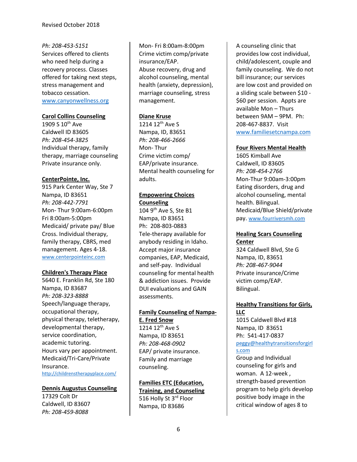*Ph: 208-453-5151* Services offered to clients who need help during a recovery process. Classes offered for taking next steps, stress management and tobacco cessation. [www.canyonwellness.org](http://www.canyonwellness.org/)

### **Carol Collins Counseling**

1909 S  $10^{th}$  Ave Caldwell ID 83605 *Ph: 208-454-3825* Individual therapy, family therapy, marriage counseling Private insurance only.

## **CenterPointe, Inc.**

915 Park Center Way, Ste 7 Nampa, ID 83651 *Ph: 208-442-7791*  Mon- Thur 9:00am-6:00pm Fri 8:00am-5:00pm Medicaid/ private pay/ Blue Cross. Individual therapy, family therapy, CBRS, med management. Ages 4-18. [www.centerpointeinc.com](http://www.centerpointeinc.com/)

#### **Children's Therapy Place**

5640 E. Franklin Rd, Ste 180 Nampa, ID 83687 *Ph: 208-323-8888* Speech/language therapy, occupational therapy, physical therapy, teletherapy, developmental therapy, service coordination, academic tutoring. Hours vary per appointment. Medicaid/Tri-Care/Private Insurance. <http://childrenstherapyplace.com/>

# **Dennis Augustus Counseling** 17329 Colt Dr Caldwell, ID 83607 *Ph: 208-459-8088*

Mon- Fri 8:00am-8:00pm Crime victim comp/private insurance/EAP. Abuse recovery, drug and alcohol counseling, mental health (anxiety, depression), marriage counseling, stress management.

#### **Diane Kruse**

1214 12<sup>th</sup> Ave S Nampa, ID, 83651 *Ph: 208-466-2666* Mon- Thur Crime victim comp/ EAP/private insurance. Mental health counseling for adults.

### **Empowering Choices Counseling**

104 9<sup>th</sup> Ave S, Ste B1 Nampa, ID 83651 Ph: 208-803-0883 Tele-therapy available for anybody residing in Idaho. Accept major insurance companies, EAP, Medicaid, and self-pay. Individual counseling for mental health & addiction issues. Provide DUI evaluations and GAIN assessments.

# **Family Counseling of Nampa-E. Fred Snow**

1214 12<sup>th</sup> Ave S Nampa, ID 83651 *Ph: 208-468-0902*  EAP/ private insurance. Family and marriage counseling.

**Families ETC (Education, Training, and Counseling** 516 Holly St 3rd Floor Nampa, ID 83686

A counseling clinic that provides low cost individual, child/adolescent, couple and family counseling. We do not bill insurance; our services are low cost and provided on a sliding scale between \$10 - \$60 per session. Appts are available Mon – Thurs between 9AM – 9PM. Ph: 208-467-8837. Visit [www.familiesetcnampa.com](http://www.familiesetcnampa.com/)

## **Four Rivers Mental Health**

1605 Kimball Ave Caldwell, ID 83605 *Ph: 208-454-2766* Mon-Thur 9:00am-3:00pm Eating disorders, drug and alcohol counseling, mental health. Bilingual. Medicaid/Blue Shield/private pay. [www.fourriversmh.com](http://www.fourriversmh.com/)

# **Healing Scars Counseling Center**

324 Caldwell Blvd, Ste G Nampa, ID, 83651 *Ph: 208-467-9044* Private insurance/Crime victim comp/EAP. Bilingual.

## **Healthy Transitions for Girls, LLC**

1015 Caldwell Blvd #18 Nampa, ID 83651 Ph: 541-417-0837 [peggy@healthytransitionsforgirl](mailto:peggy@healthytransitionsforgirls.com) [s.com](mailto:peggy@healthytransitionsforgirls.com)

Group and Individual counseling for girls and woman. A 12-week , strength-based prevention program to help girls develop positive body image in the critical window of ages 8 to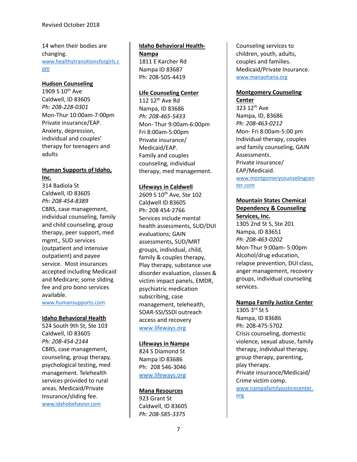14 when their bodies are changing. [www.healthytransitionsforgirls.c](http://www.healthytransitionsforgirls.com/) [om](http://www.healthytransitionsforgirls.com/)

#### **Hudson Counseling**

1909 S 10<sup>th</sup> Ave Caldwell, ID 83605 *Ph: 208-228-0301*  Mon-Thur 10:00am-7:00pm Private insurance/EAP. Anxiety, depression, individual and couples' therapy for teenagers and adults

# **Human Supports of Idaho, Inc.**

314 Badiola St Caldwell, ID 83605 *Ph: 208-454-8389*  CBRS, case management, individual counseling, family and child counseling, group therapy, peer support, med mgmt., SUD services (outpatient and intensive outpatient) and payee service. Most insurances accepted including Medicaid and Medicare; some sliding fee and pro bono services available.

[www.humansupports.com](http://www.humansupports.com/)

#### **Idaho Behavioral Health**

524 South 9th St, Ste 103 Caldwell, ID 83605 *Ph: 208-454-2144*  CBRS, case management, counseling, group therapy, psychological testing, med management. Telehealth services provided to rural areas. Medicaid/Private Insurance/sliding fee. [www.idahobehavior.com](http://www.idahobehavior.com/)

# **Idaho Behavioral Health-**

**Nampa** 1811 E Karcher Rd Nampa ID 83687 Ph: 208-505-4419

#### **Life Counseling Center**

112 12<sup>th</sup> Ave Rd Nampa, ID 83686 *Ph: 208-465-5433* Mon- Thur 9:00am-6:00pm Fri 8:00am-5:00pm Private insurance/ Medicaid/EAP. Family and couples counseling, individual therapy, med management.

#### **Lifeways in Caldwell**

2609 S 10<sup>th</sup> Ave, Ste 102 Caldwell ID 83605 Ph: 208 454-2766 Services include mental health assessments, SUD/DUI evaluations; GAIN assessments, SUD/MRT groups, individual, child, family & couples therapy, Play therapy, substance use disorder evaluation, classes & victim impact panels, EMDR, psychiatric medication subscribing, case management, telehealth, SOAR-SSI/SSDI outreach access and recovery [www.lifeways.org](http://www.lifeways.org/)

#### **Lifeways in Nampa**

824 S Diamond St Nampa ID 83686 Ph: 208 546-3046 [www.lifeways.org](http://www.lifeways.org/)

#### **Mana Resources**

923 Grant St Caldwell, ID 83605 *Ph: 208-585-3375*

Counseling services to children, youth, adults, couples and families. Medicaid/Private Insurance. [www.manaohana.org](http://www.manaohana.org/)

#### **Montgomery Counseling Center**

323 12<sup>th</sup> Ave Nampa, ID, 83686 *Ph: 208-463-0212*  Mon- Fri 8:00am-5:00 pm Individual therapy, couples and family counseling, GAIN Assessments. Private insurance/ EAP/Medicaid. [www.montgomerycounselingcen](http://www.montgomerycounselingcenter.com/) [ter.com](http://www.montgomerycounselingcenter.com/)

#### **Mountain States Chemical Dependency & Counseling Services, Inc.**

1305 2nd St S, Ste 201 Nampa, ID 83651 *Ph: 208-463-0202*  Mon-Thur 9:00am- 5:00pm Alcohol/drug education, relapse prevention, DUI class, anger management, recovery groups, individual counseling services.

#### **Nampa Family Justice Center**

1305 3rd St S Nampa, ID 83686 Ph: 208-475-5702 Crisis counseling, domestic violence, sexual abuse, family therapy, individual therapy, group therapy, parenting, play therapy. Private insurance/Medicaid/ Crime victim comp. [www.nampafamilyjusticecenter.](http://www.nampafamilyjusticecenter.org/) [org](http://www.nampafamilyjusticecenter.org/)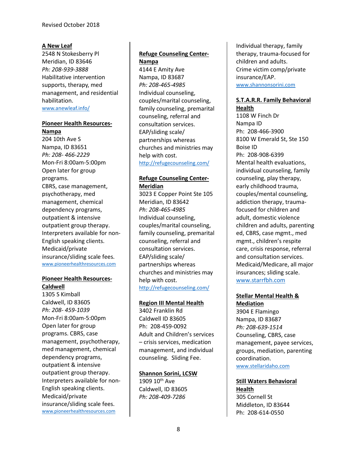#### **A New Leaf**

2548 N Stokesberry Pl Meridian, ID 83646 *Ph: 208-939-3888*  Habilitative intervention supports, therapy, med management, and residential habilitation.

[www.anewleaf.info/](http://www.anewleaf.info/)

#### **Pioneer Health Resources-Nampa**

204 10th Ave S Nampa, ID 83651 *Ph: 208- 466-2229*  Mon-Fri 8:00am-5:00pm Open later for group programs. CBRS, case management, psychotherapy, med management, chemical dependency programs, outpatient & intensive outpatient group therapy. Interpreters available for non-English speaking clients. Medicaid/private insurance/sliding scale fees. [www.pioneerhealthresources.com](http://www.pioneerhealthresources.com/)

#### **Pioneer Health Resources-Caldwell**

1305 S Kimball Caldwell, ID 83605 *Ph: 208- 459-1039*  Mon-Fri 8:00am-5:00pm Open later for group programs. CBRS, case management, psychotherapy, med management, chemical dependency programs, outpatient & intensive outpatient group therapy. Interpreters available for non-English speaking clients. Medicaid/private insurance/sliding scale fees. [www.pioneerhealthresources.com](http://www.pioneerhealthresources.com/)

# **Refuge Counseling Center-Nampa**

4144 E Amity Ave Nampa, ID 83687 *Ph: 208-465-4985*  Individual counseling, couples/marital counseling, family counseling, premarital counseling, referral and consultation services. EAP/sliding scale/ partnerships whereas churches and ministries may help with cost. <http://refugecounseling.com/>

## **Refuge Counseling Center-Meridian**

3023 E Copper Point Ste 105 Meridian, ID 83642 *Ph: 208-465-4985*  Individual counseling, couples/marital counseling, family counseling, premarital counseling, referral and consultation services. EAP/sliding scale/ partnerships whereas churches and ministries may help with cost. <http://refugecounseling.com/>

#### **Region III Mental Health**

3402 Franklin Rd Caldwell ID 83605 Ph: 208-459-0092 Adult and Children's services – crisis services, medication management, and individual counseling. Sliding Fee.

#### **Shannon Sorini, LCSW**

1909  $10^{th}$  Ave Caldwell, ID 83605 *Ph: 208-409-7286*

Individual therapy, family therapy, trauma-focused for children and adults. Crime victim comp/private insurance/EAP. [www.shannonsorini.com](http://www.shannonsorini.com/)

# **S.T.A.R.R. Family Behavioral Health**

1108 W Finch Dr Nampa ID Ph: 208-466-3900 8100 W Emerald St, Ste 150 Boise ID Ph: 208-908-6399 Mental health evaluations, individual counseling, family counseling, play therapy, early childhood trauma, couples/mental counseling, addiction therapy, traumafocused for children and adult, domestic violence children and adults, parenting ed, CBRS, case mgmt., med mgmt., children's respite care, crisis response, referral and consultation services. Medicaid/Medicare, all major insurances; sliding scale. [www.starrfbh.com](http://www.starrfbh.com/)

# **Stellar Mental Health & Mediation**

3904 E Flamingo Nampa, ID 83687 *Ph: 208-639-1514* Counseling, CBRS, case management, payee services, groups, mediation, parenting coordination. [www.stellaridaho.com](http://www.stellaridaho.com/)

#### **Still Waters Behavioral Health**

305 Cornell St Middleton, ID 83644 Ph: 208-614-0550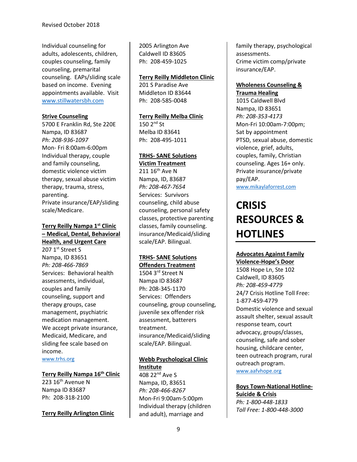Individual counseling for adults, adolescents, children, couples counseling, family counseling, premarital counseling. EAPs/sliding scale based on income. Evening appointments available. Visit [www.stillwatersbh.com](http://www.stillwatersbh.com/)

## **Strive Counseling**

5700 E Franklin Rd, Ste 220E Nampa, ID 83687 *Ph: 208-936-1097* Mon- Fri 8:00am-6:00pm Individual therapy, couple and family counseling, domestic violence victim therapy, sexual abuse victim therapy, trauma, stress, parenting. Private insurance/EAP/sliding scale/Medicare.

# **Terry Reilly Nampa 1st Clinic – Medical, Dental, Behavioral Health, and Urgent Care**

207 1st Street S Nampa, ID 83651 *Ph: 208-466-7869*  Services: Behavioral health assessments, individual, couples and family counseling, support and therapy groups, case management, psychiatric medication management. We accept private insurance, Medicaid, Medicare, and sliding fee scale based on income.

[www.trhs.org](http://www.trhs.org/)

#### **Terry Reilly Nampa 16th Clinic**

223  $16<sup>th</sup>$  Avenue N Nampa ID 83687 Ph: 208-318-2100

**Terry Reilly Arlington Clinic** 

2005 Arlington Ave Caldwell ID 83605 Ph: 208-459-1025

#### **Terry Reilly Middleton Clinic**

201 S Paradise Ave Middleton ID 83644 Ph: 208-585-0048

**Terry Reilly Melba Clinic**

 $150$   $2<sup>nd</sup>$  St Melba ID 83641 Ph: 208-495-1011

## **TRHS- SANE Solutions**

**Victim Treatment**  $211 16$ <sup>th</sup> Ave N Nampa, ID, 83687 *Ph: 208-467-7654*  Services: Survivors counseling, child abuse counseling, personal safety classes, protective parenting classes, family counseling. insurance/Medicaid/sliding scale/EAP. Bilingual.

#### **TRHS- SANE Solutions Offenders Treatment**

1504 3<sup>rd</sup> Street N Nampa ID 83687 Ph: 208-345-1170 Services: Offenders counseling, group counseling, juvenile sex offender risk assessment, batterers treatment. insurance/Medicaid/sliding scale/EAP. Bilingual.

# **Webb Psychological Clinic Institute**

408 22<sup>nd</sup> Ave S Nampa, ID, 83651 *Ph: 208-466-8267* Mon-Fri 9:00am-5:00pm Individual therapy (children and adult), marriage and

family therapy, psychological assessments. Crime victim comp/private insurance/EAP.

#### **Wholeness Counseling & Trauma Healing**

1015 Caldwell Blvd Nampa, ID 83651 *Ph: 208-353-4173* Mon-Fri 10:00am-7:00pm; Sat by appointment PTSD, sexual abuse, domestic violence, grief, adults, couples, family, Christian counseling. Ages 16+ only. Private insurance/private pay/EAP. [www.mikaylaforrest.com](http://www.mikaylaforrest.com/)

# **CRISIS RESOURCES & HOTLINES**

# **Advocates Against Family**

**Violence-Hope's Door** 1508 Hope Ln, Ste 102 Caldwell, ID 83605 *Ph: 208-459-4779* 24/7 Crisis Hotline Toll Free: 1-877-459-4779 Domestic violence and sexual assault shelter, sexual assault response team, court advocacy, groups/classes, counseling, safe and sober housing, childcare center, teen outreach program, rural outreach program. [www.aafvhope.org](http://www.aafvhope.org/)

**Boys Town-National Hotline-Suicide & Crisis** *Ph: 1-800-448-1833 Toll Free: 1-800-448-3000*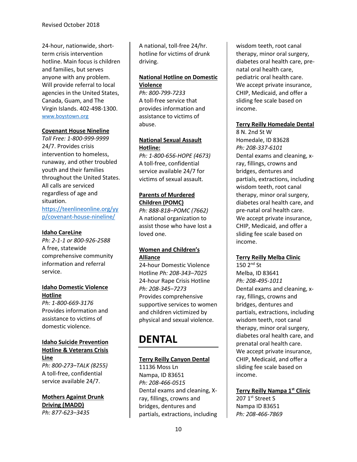24-hour, nationwide, shortterm crisis intervention hotline. Main focus is children and families, but serves anyone with any problem. Will provide referral to local agencies in the United States, Canada, Guam, and The Virgin Islands. 402-498-1300. [www.boystown.org](http://www.boystown.org/)

#### **Covenant House Nineline**

*Toll Free: 1-800-999-9999* 24/7. Provides crisis intervention to homeless, runaway, and other troubled youth and their families throughout the United States. All calls are serviced regardless of age and situation. [https://teenlineonline.org/yy](https://teenlineonline.org/yyp/covenant-house-nineline/) [p/covenant-house-nineline/](https://teenlineonline.org/yyp/covenant-house-nineline/)

#### **Idaho CareLine**

*Ph: 2-1-1 or 800-926-2588* A free, statewide comprehensive community information and referral service.

#### **Idaho Domestic Violence Hotline**

*Ph: 1-800-669-3176* Provides information and assistance to victims of domestic violence.

#### **Idaho Suicide Prevention Hotline & Veterans Crisis Line**

*Ph: 800-273–TALK (8255)* A toll-free, confidential service available 24/7.

**Mothers Against Drunk Driving (MADD)** *Ph: 877-623–3435*

A national, toll-free 24/hr. hotline for victims of drunk driving.

# **National Hotline on Domestic Violence**

*Ph: 800-799-7233* A toll-free service that provides information and assistance to victims of abuse.

### **National Sexual Assault Hotline:**

*Ph: 1-800-656-HOPE (4673)* A toll-free, confidential service available 24/7 for victims of sexual assault.

# **Parents of Murdered Children (POMC)**

*Ph: 888-818–POMC (7662)* A national organization to assist those who have lost a loved one.

# **Women and Children's Alliance**

24-hour Domestic Violence Hotline *Ph: 208-343–7025* 24-hour Rape Crisis Hotline *Ph: 208-345–7273* Provides comprehensive supportive services to women and children victimized by physical and sexual violence.

# **DENTAL**

# **Terry Reilly Canyon Dental**

11136 Moss Ln Nampa, ID 83651 *Ph: 208-466-0515* Dental exams and cleaning, Xray, fillings, crowns and bridges, dentures and partials, extractions, including

wisdom teeth, root canal therapy, minor oral surgery, diabetes oral health care, prenatal oral health care, pediatric oral health care. We accept private insurance, CHIP, Medicaid, and offer a sliding fee scale based on income.

## **Terry Reilly Homedale Dental**

8 N. 2nd St W Homedale, ID 83628 *Ph: 208-337-6101* Dental exams and cleaning, xray, fillings, crowns and bridges, dentures and partials, extractions, including wisdom teeth, root canal therapy, minor oral surgery, diabetes oral health care, and pre-natal oral health care. We accept private insurance, CHIP, Medicaid, and offer a sliding fee scale based on income.

#### **Terry Reilly Melba Clinic**

150 2nd St Melba, ID 83641 *Ph: 208-495-1011* Dental exams and cleaning, xray, fillings, crowns and bridges, dentures and partials, extractions, including wisdom teeth, root canal therapy, minor oral surgery, diabetes oral health care, and prenatal oral health care. We accept private insurance, CHIP, Medicaid, and offer a sliding fee scale based on income.

**Terry Reilly Nampa 1st Clinic** 207 1st Street S Nampa ID 83651 *Ph: 208-466-7869*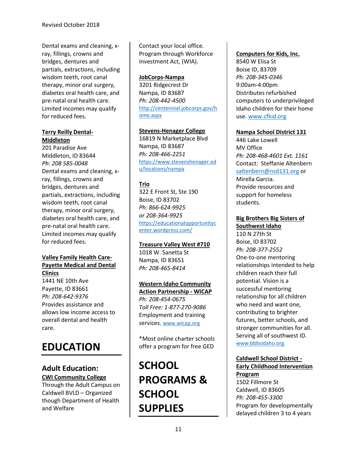Dental exams and cleaning, xray, fillings, crowns and bridges, dentures and partials, extractions, including wisdom teeth, root canal therapy, minor oral surgery, diabetes oral health care, and pre-natal oral health care. Limited incomes may qualify for reduced fees.

#### **Terry Reilly Dental-Middleton**

201 Paradise Ave Middleton, ID 83644 *Ph: 208 585-0048* Dental exams and cleaning, xray, fillings, crowns and bridges, dentures and partials, extractions, including wisdom teeth, root canal therapy, minor oral surgery, diabetes oral health care, and pre-natal oral health care. Limited incomes may qualify for reduced fees.

# **Valley Family Health Care-Payette Medical and Dental Clinics**

1441 NE 10th Ave Payette, ID 83661 *Ph: 208-642-9376* Provides assistance and allows low income access to overall dental and health care.

# **EDUCATION**

# **Adult Education: CWI Community College**

Through the Adult Campus on Caldwell BVLD – Organized though Department of Health and Welfare

Contact your local office. Program through Workforce Investment Act, (WIA).

# **JobCorps-Nampa**

3201 Ridgecrest Dr Nampa, ID 83687 *Ph: 208-442-4500* [http://centennial.jobcorps.gov/h](http://centennial.jobcorps.gov/home.aspx) [ome.aspx](http://centennial.jobcorps.gov/home.aspx)

### **Stevens-Henager College**

16819 N Marketplace Blvd Nampa, ID 83687 *Ph: 208-466-2251* [https://www.stevenshenager.ed](https://www.stevenshenager.edu/locations/nampa) [u/locations/nampa](https://www.stevenshenager.edu/locations/nampa)

# **Trio**

322 E Front St, Ste 190 Boise, ID 83702 *Ph: 866-624-9925 or 208-364-9925* [https://educationalopportunityc](https://educationalopportunitycenter.wordpress.com/) [enter.wordpress.com/](https://educationalopportunitycenter.wordpress.com/)

#### **Treasure Valley West #710**

1018 W. Sanetta St Nampa, ID 83651 *Ph: 208-465-8414*

# **Western Idaho Community**

**Action Partnership - WICAP** *Ph: 208-454-0675 Toll Free: 1-877-270-9086* Employment and training services. [www.wicap.org](http://www.wicap.org/)

\*Most online charter schools offer a program for free GED

**SCHOOL PROGRAMS & SCHOOL SUPPLIES**

### **Computers for Kids, Inc.**

8540 W Elisa St Boise ID, 83709 *Ph: 208-345-0346* 9:00am-4:00pm Distributes refurbished computers to underprivileged Idaho children for their home use. [www.cfkid.org](http://www.cfkid.org/)

#### **Nampa School District 131**

446 Lake Lowell MV Office *Ph: 208-468-4601 Ext. 1161* Contact: Steffanie Altenbern [saltenbern@nsd131.org](mailto:saltenbern@nsd131.org) or Mirella Garcia. Provide resources and support for homeless students.

# **Big Brothers Big Sisters of Southwest Idaho**

110 N 27th St Boise, ID 83702 *Ph: 208-377-2552* One-to-one mentoring relationships intended to help children reach their full potential. Vision is a successful mentoring relationship for all children who need and want one, contributing to brighter futures, better schools, and stronger communities for all. Serving all of southwest ID. [www.bbbsidaho.org](http://www.bbbsidaho.org/)

# **Caldwell School District - Early Childhood Intervention**

**Program** 1502 Fillmore St Caldwell, ID 83605 *Ph: 208-455-3300* Program for developmentally delayed children 3 to 4 years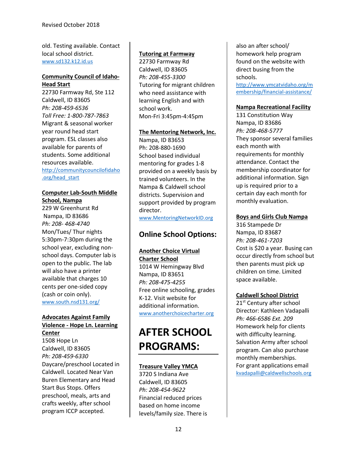old. Testing available. Contact local school district. [www.sd132.k12.id.us](http://www.sd132.k12.id.us/)

#### **Community Council of Idaho-Head Start**

22730 Farmway Rd, Ste 112 Caldwell, ID 83605 *Ph: 208-459-6536 Toll Free: 1-800-787-7863* Migrant & seasonal worker year round head start program. ESL classes also available for parents of students. Some additional resources available. [http://communitycouncilofidaho](http://communitycouncilofidaho.org/head_start) [.org/head\\_start](http://communitycouncilofidaho.org/head_start)

# **Computer Lab-South Middle School, Nampa**

229 W Greenhurst Rd Nampa, ID 83686 *Ph: 208- 468-4740* Mon/Tues/ Thur nights 5:30pm-7:30pm during the school year, excluding nonschool days. Computer lab is open to the public. The lab will also have a printer available that charges 10 cents per one-sided copy (cash or coin only). [www.south.nsd131.org/](http://www.south.nsd131.org/)

### **Advocates Against Family Violence - Hope Ln. Learning Center**

1508 Hope Ln Caldwell, ID 83605 *Ph: 208-459-6330* Daycare/preschool Located in Caldwell. Located Near Van Buren Elementary and Head Start Bus Stops. Offers preschool, meals, arts and crafts weekly, after school program ICCP accepted.

# **Tutoring at Farmway**

22730 Farmway Rd Caldwell, ID 83605 *Ph: 208-455-3300* Tutoring for migrant children who need assistance with learning English and with school work. Mon-Fri 3:45pm-4:45pm

#### **The Mentoring Network, Inc.**

Nampa, ID 83653 Ph: 208-880-1690 School based individual mentoring for grades 1-8 provided on a weekly basis by trained volunteers. In the Nampa & Caldwell school districts. Supervision and support provided by program director.

# [www.MentoringNetworkID.org](http://www.mentoringnetworkid.org/)

# **Online School Options:**

# **Another Choice Virtual Charter School**

1014 W Hemingway Blvd Nampa, ID 83651 *Ph: 208-475-4255* Free online schooling, grades K-12. Visit website for additional information. [www.anotherchoicecharter.org](http://www.anotherchoicecharter.org/)

# **AFTER SCHOOL PROGRAMS:**

# **Treasure Valley YMCA**

3720 S Indiana Ave Caldwell, ID 83605 *Ph: 208-454-9622* Financial reduced prices based on home income levels/family size. There is also an after school/ homework help program found on the website with direct busing from the schools. [http://www.ymcatvidaho.org/m](http://www.ymcatvidaho.org/membership/financial-assistance/)

[embership/financial-assistance/](http://www.ymcatvidaho.org/membership/financial-assistance/)

# **Nampa Recreational Facility**

131 Constitution Way Nampa, ID 83686 *Ph: 208-468-5777* They sponsor several families each month with requirements for monthly attendance. Contact the membership coordinator for additional information. Sign up is required prior to a certain day each month for monthly evaluation.

# **Boys and Girls Club Nampa**

316 Stampede Dr Nampa, ID 83687 *Ph: 208-461-7203* Cost is \$20 a year. Busing can occur directly from school but then parents must pick up children on time. Limited space available.

# **Caldwell School District**

21<sup>st</sup> Century after school Director: Kathleen Vadapalli *Ph: 466-6586 Ext. 209* Homework help for clients with difficulty learning. Salvation Army after school program. Can also purchase monthly memberships. For grant applications email [kvadapalli@caldwellschools.org](mailto:kvadapalli@caldwellschools.org)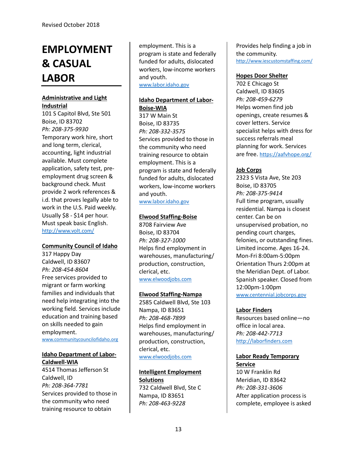# **EMPLOYMENT & CASUAL LABOR**

# **Administrative and Light Industrial**

101 S Capitol Blvd, Ste 501 Boise, ID 83702 *Ph: 208-375-9930* Temporary work hire, short and long term, clerical, accounting, light industrial available. Must complete application, safety test, preemployment drug screen & background check. Must provide 2 work references & i.d. that proves legally able to work in the U.S. Paid weekly. Usually \$8 - \$14 per hour. Must speak basic English. <http://www.volt.com/>

#### **Community Council of Idaho**

317 Happy Day Caldwell, ID 83607 *Ph: 208-454-8604* Free services provided to migrant or farm working families and individuals that need help integrating into the working field. Services include education and training based on skills needed to gain employment. [www.communitycouncilofidaho.org](http://www.communitycouncilofidaho.org/)

#### **Idaho Department of Labor-Caldwell-WIA**

4514 Thomas Jefferson St Caldwell, ID *Ph: 208-364-7781* Services provided to those in the community who need training resource to obtain

employment. This is a program is state and federally funded for adults, dislocated workers, low-income workers and youth. [www.labor.idaho.gov](http://www.labor.idaho.gov/)

# **Idaho Department of Labor-Boise-WIA**

317 W Main St Boise, ID 83735 *Ph: 208-332-3575* Services provided to those in the community who need training resource to obtain employment. This is a program is state and federally funded for adults, dislocated workers, low-income workers and youth. [www.labor.idaho.gov](http://www.labor.idaho.gov/)

#### **Elwood Staffing-Boise**

8708 Fairview Ave Boise, ID 83704 *Ph: 208-327-1000* Helps find employment in warehouses, manufacturing/ production, construction, clerical, etc. [www.elwoodjobs.com](http://www.elwoodjobs.com/)

#### **Elwood Staffing-Nampa**

2585 Caldwell Blvd, Ste 103 Nampa, ID 83651 *Ph: 208-468-7899* Helps find employment in warehouses, manufacturing/ production, construction, clerical, etc. [www.elwoodjobs.com](http://www.elwoodjobs.com/)

#### **Intelligent Employment Solutions**

732 Caldwell Blvd, Ste C Nampa, ID 83651 *Ph: 208-463-9228*

Provides help finding a job in the community. <http://www.iescustomstaffing.com/>

#### **Hopes Door Shelter**

702 E Chicago St Caldwell, ID 83605 *Ph: 208-459-6279* Helps women find job openings, create resumes & cover letters. Service specialist helps with dress for success referrals meal planning for work. Services are free. <https://aafvhope.org/>

## **Job Corps**

2323 S Vista Ave, Ste 203 Boise, ID 83705 *Ph: 208-375-9414* Full time program, usually residential. Nampa is closest center. Can be on unsupervised probation, no pending court charges, felonies, or outstanding fines. Limited income. Ages 16-24. Mon-Fri 8:00am-5:00pm Orientation Thurs 2:00pm at the Meridian Dept. of Labor. Spanish speaker. Closed from 12:00pm-1:00pm [www.centennial.jobcorps.gov](http://www.centennial.jobcorps.gov/)

#### **Labor Finders**

Resources based online—no office in local area. *Ph: 208-442-7713* [http://laborfinders.com](http://laborfinders.com/)

# **Labor Ready Temporary**

**Service** 10 W Franklin Rd Meridian, ID 83642 *Ph: 208-331-3606* After application process is complete, employee is asked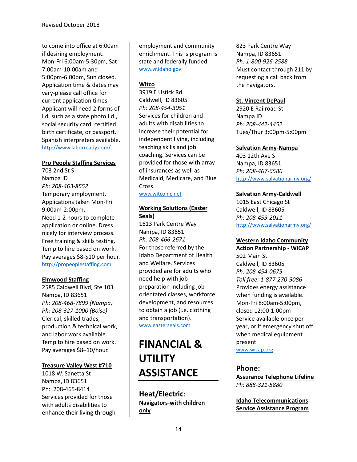to come into office at 6:00am if desiring employment. Mon-Fri 6:00am-5:30pm, Sat 7:00am-10:00am and 5:00pm-6:00pm, Sun closed. Application time & dates may vary-please call office for current application times. Applicant will need 2 forms of i.d. such as a state photo i.d., social security card, certified birth certificate, or passport. Spanish interpreters available. <http://www.laborready.com/>

#### **Pro People Staffing Services**

703 2nd St S Nampa ID *Ph: 208-463-8552* Temporary employment. Applications taken Mon-Fri 9:00am-2:00pm. Need 1-2 hours to complete application or online. Dress nicely for interview process. Free training & skills testing. Temp to hire based on work. Pay averages \$8-\$10 per hour. [http://propeoplestaffing.com](http://propeoplestaffing.com/)

#### **Elmwood Staffing**

2585 Caldwell Blvd, Ste 103 Nampa, ID 83651 *Ph: 208-468-7899 (Nampa) Ph: 208-327-1000 (Boise)* Clerical, skilled trades, production & technical work, and labor work available. Temp to hire based on work. Pay averages \$8–10/hour.

#### **Treasure Valley West #710**

1018 W. Sanetta St Nampa, ID 83651 Ph: 208-465-8414 Services provided for those with adults disabilities to enhance their living through employment and community enrichment. This is program is state and federally funded. [www.vr.idaho.gov](http://www.vr.idaho.gov/)

#### **Witco**

3919 E Ustick Rd Caldwell, ID 83605 *Ph: 208-454-3051* Services for children and adults with disabilities to increase their potential for independent living, including teaching skills and job coaching. Services can be provided for those with array of insurances as well as Medicaid, Medicare, and Blue Cross.

[www.witcoinc.net](http://www.witcoinc.net/)

# **Working Solutions (Easter Seals)**

1613 Park Centre Way Nampa, ID 83651 *Ph: 208-466-2671* For those referred by the Idaho Department of Health and Welfare. Services provided are for adults who need help with job preparation including job orientated classes, workforce development, and resources to obtain a job (i.e. clothing and transportation). [www.easterseals.com](http://www.easterseals.com/)

# **FINANCIAL & UTILITY ASSISTANCE**

**Heat/Electric**: **Navigators-with children only**

823 Park Centre Way Nampa, ID 83651 *Ph: 1-800-926-2588* Must contact through 211 by requesting a call back from the navigators.

### **St. Vincent DePaul**

2920 E Railroad St Nampa ID *Ph: 208-442-4452* Tues/Thur 3:00pm-5:00pm

#### **Salvation Army-Nampa**

403 12th Ave S Nampa, ID 83651 *Ph: 208-467-6586* <http://www.salvationarmy.org/>

#### **Salvation Army-Caldwell**

1015 East Chicago St Caldwell, ID 83605 *Ph: 208-459-2011* <http://www.salvationarmy.org/>

# **Western Idaho Community**

**Action Partnership - WICAP** 502 Main St Caldwell, ID 83605 *Ph: 208-454-0675 Toll free: 1-877-270-9086* Provides energy assistance when funding is available. Mon-Fri 8:00am-5:00pm, closed 12:00-1:00pm Service available once per year, or if emergency shut off when medical equipment present

[www.wicap.org](http://www.wicap.org/)

#### **Phone:**

**Assurance Telephone Lifeline** *Ph: 888-321-5880*

**Idaho Telecommunications Service Assistance Program**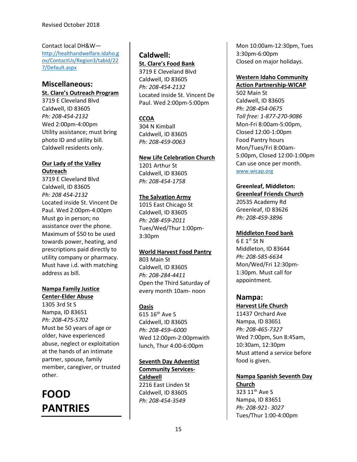Contact local DH&W [http://healthandwelfare.idaho.g](http://healthandwelfare.idaho.gov/ContactUs/Region3/tabid/227/Default.aspx) [ov/ContactUs/Region3/tabid/22](http://healthandwelfare.idaho.gov/ContactUs/Region3/tabid/227/Default.aspx) [7/Default.aspx](http://healthandwelfare.idaho.gov/ContactUs/Region3/tabid/227/Default.aspx)

# **Miscellaneous:**

**St. Clare's Outreach Program**

3719 E Cleveland Blvd Caldwell, ID 83605 *Ph: 208-454-2132* Wed 2:00pm-4:00pm Utility assistance; must bring photo ID and utility bill. Caldwell residents only.

# **Our Lady of the Valley Outreach**

3719 E Cleveland Blvd Caldwell, ID 83605 *Ph: 208 454-2132* Located inside St. Vincent De Paul. Wed 2:00pm-4:00pm Must go in person; no assistance over the phone. Maximum of \$50 to be used towards power, heating, and prescriptions paid directly to utility company or pharmacy. Must have i.d. with matching address as bill.

# **Nampa Family Justice**

**Center-Elder Abuse** 1305 3rd St S Nampa, ID 83651 *Ph: 208-475-5702* Must be 50 years of age or older, have experienced abuse, neglect or exploitation at the hands of an intimate partner, spouse, family member, caregiver, or trusted other.

# **FOOD PANTRIES**

# **Caldwell: St. Clare's Food Bank**

3719 E Cleveland Blvd Caldwell, ID 83605 *Ph: 208-454-2132* Located inside St. Vincent De Paul. Wed 2:00pm-5:00pm

# **CCOA**

304 N Kimball Caldwell, ID 83605 *Ph: 208-459-0063*

# **New Life Celebration Church**

1201 Arthur St Caldwell, ID 83605 *Ph: 208-454-1758*

# **The Salvation Army**

1015 East Chicago St Caldwell, ID 83605 *Ph: 208-459-2011* Tues/Wed/Thur 1:00pm-3:30pm

# **World Harvest Food Pantry**

803 Main St Caldwell, ID 83605 *Ph: 208-284-4411* Open the Third Saturday of every month 10am- noon

# **Oasis**

 $615 16$ <sup>th</sup> Ave S Caldwell, ID 83605 *Ph: 208-459–6000* Wed 12:00pm-2:00pmwith lunch, Thur 4:00-6:00pm

# **Seventh Day Adventist**

**Community Services-Caldwell** 2216 East Linden St Caldwell, ID 83605 *Ph: 208-454-3549*

Mon 10:00am-12:30pm, Tues 3:30pm-6:00pm Closed on major holidays.

#### **Western Idaho Community Action Partnership-WICAP**

502 Main St Caldwell, ID 83605 *Ph: 208-454-0675 Toll free: 1-877-270-9086* Mon-Fri 8:00am-5:00pm, Closed 12:00-1:00pm Food Pantry hours Mon/Tues/Fri 8:00am-5:00pm, Closed 12:00-1:00pm Can use once per month. [www.wicap.org](http://www.wicap.org/)

#### **Greenleaf, Middleton: Greenleaf Friends Church**

20535 Academy Rd Greenleaf, ID 83626 *Ph: 208-459-3896*

# **Middleton Food bank**

6 E 1st St N Middleton, ID 83644 *Ph: 208-585-6634* Mon/Wed/Fri 12:30pm-1:30pm. Must call for appointment.

# **Nampa:**

# **Harvest Life Church**

11437 Orchard Ave Nampa, ID 83651 *Ph: 208-465-7327* Wed 7:00pm, Sun 8:45am, 10:30am, 12:30pm Must attend a service before food is given.

# **Nampa Spanish Seventh Day Church**

323 11<sup>th</sup> Ave S Nampa, ID 83651 *Ph: 208-921- 3027* Tues/Thur 1:00-4:00pm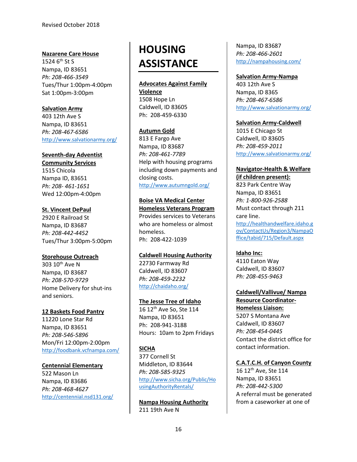## **Nazarene Care House**

1524 6<sup>th</sup> St S Nampa, ID 83651 *Ph: 208-466-3549* Tues/Thur 1:00pm-4:00pm Sat 1:00pm-3:00pm

## **Salvation Army**

403 12th Ave S Nampa, ID 83651 *Ph: 208-467-6586* <http://www.salvationarmy.org/>

# **Seventh-day Adventist**

**Community Services** 1515 Chicola Nampa ID, 83651 *Ph: 208- 461-1651* Wed 12:00pm-4:00pm

## **St. Vincent DePaul**

2920 E Railroad St Nampa, ID 83687 *Ph: 208-442-4452* Tues/Thur 3:00pm-5:00pm

# **Storehouse Outreach**

303 10<sup>th</sup> Ave N Nampa, ID 83687 *Ph: 208-570-9729* Home Delivery for shut-ins and seniors.

# **12 Baskets Food Pantry**

11220 Lone Star Rd Nampa, ID 83651 *Ph: 208-546-5896* Mon/Fri 12:00pm-2:00pm <http://foodbank.vcfnampa.com/>

#### **Centennial Elementary**

522 Mason Ln Nampa, ID 83686 *Ph: 208-468-4627* <http://centennial.nsd131.org/>

# **HOUSING ASSISTANCE**

#### **Advocates Against Family**

**Violence** 1508 Hope Ln Caldwell, ID 83605 Ph: 208-459-6330

#### **Autumn Gold**

813 E Fargo Ave Nampa, ID 83687 *Ph: 208-461-7789* Help with housing programs including down payments and closing costs. <http://www.autumngold.org/>

# **Boise VA Medical Center**

**Homeless Veterans Program** Provides services to Veterans who are homeless or almost homeless. Ph: 208-422-1039

#### **Caldwell Housing Authority**

22730 Farmway Rd Caldwell, ID 83607 *Ph: 208-459-2232* <http://chaidaho.org/>

# **The Jesse Tree of Idaho**

 $16 12$ <sup>th</sup> Ave So, Ste 114 Nampa, ID 83651 Ph: 208-941-3188 Hours: 10am to 2pm Fridays

# **SICHA**

377 Cornell St Middleton, ID 83644 *Ph: 208-585-9325* [http://www.sicha.org/Public/Ho](http://www.sicha.org/Public/HousingAuthorityRentals/) [usingAuthorityRentals/](http://www.sicha.org/Public/HousingAuthorityRentals/)

**Nampa Housing Authority** 211 19th Ave N

Nampa, ID 83687 *Ph: 208-466-2601* <http://nampahousing.com/>

**Salvation Army-Nampa** 403 12th Ave S Nampa, ID 8365 *Ph: 208-467-6586* <http://www.salvationarmy.org/>

#### **Salvation Army-Caldwell**

1015 E Chicago St Caldwell, ID 83605 *Ph: 208-459-2011* <http://www.salvationarmy.org/>

# **Navigator-Health & Welfare (if children present):**

823 Park Centre Way Nampa, ID 83651 *Ph: 1-800-926-2588* Must contact through 211 care line. [http://healthandwelfare.idaho.g](http://healthandwelfare.idaho.gov/ContactUs/Region3/NampaOffice/tabid/715/Default.aspx) [ov/ContactUs/Region3/NampaO](http://healthandwelfare.idaho.gov/ContactUs/Region3/NampaOffice/tabid/715/Default.aspx) [ffice/tabid/715/Default.aspx](http://healthandwelfare.idaho.gov/ContactUs/Region3/NampaOffice/tabid/715/Default.aspx)

# **Idaho Inc:**

4110 Eaton Way Caldwell, ID 83607 *Ph: 208-455-9463*

**Caldwell/Vallivue/ Nampa Resource Coordinator-Homeless Liaison:** 5207 S Montana Ave Caldwell, ID 83607 *Ph: 208-454-0445* Contact the district office for contact information.

# **C.A.T.C.H. of Canyon County**

 $16 12$ <sup>th</sup> Ave, Ste 114 Nampa, ID 83651 *Ph: 208-442-5300* A referral must be generated from a caseworker at one of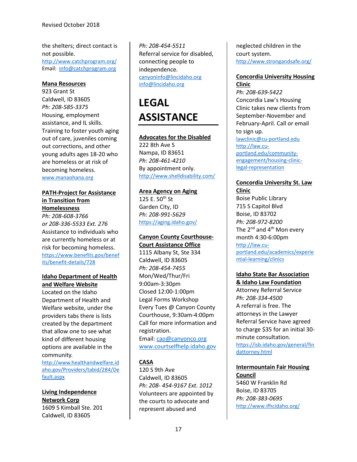the shelters; direct contact is not possible. [http://www.catchprogram.org/](http://www.catchprogram.org/catch-of-canyon-county.php) Email: [info@catchprogram.org](mailto:info@catchprogram.org)

#### **Mana Resources**

923 Grant St Caldwell, ID 83605 *Ph: 208-585-3375* Housing, employment assistance, and IL skills. Training to foster youth aging out of care, juveniles coming out corrections, and other young adults ages 18-20 who are homeless or at risk of becoming homeless. [www.manaohana.org](http://www.manaohana.org/)

#### **PATH-Project for Assistance in Transition from Homelessness**

*Ph: 208-608-3766 or 208-336-5533 Ext. 276* Assistance to individuals who are currently homeless or at risk for becoming homeless. [https://www.benefits.gov/benef](https://www.benefits.gov/benefits/benefit-details/728) [its/benefit-details/728](https://www.benefits.gov/benefits/benefit-details/728)

#### **Idaho Department of Health and Welfare Website**

Located on the Idaho Department of Health and Welfare website, under the providers tabs there is lists created by the department that allow one to see what kind of different housing options are available in the community.

[http://www.healthandwelfare.id](http://www.healthandwelfare.idaho.gov/Providers/tabid/284/Default.aspx) [aho.gov/Providers/tabid/284/De](http://www.healthandwelfare.idaho.gov/Providers/tabid/284/Default.aspx) [fault.aspx](http://www.healthandwelfare.idaho.gov/Providers/tabid/284/Default.aspx)

**Living Independence Network Corp** 1609 S Kimball Ste. 201 Caldwell, ID 83605

*Ph: 208-454-5511* Referral service for disabled, connecting people to independence. [canyoninfo@lincidaho.org](mailto:canyoninfo@lincidaho.org) [info@lincidaho.org](mailto:info@lincidaho.org)

# **LEGAL ASSISTANCE**

#### **Advocates for the Disabled**

222 8th Ave S Nampa, ID 83651 *Ph: 208-461-4210* By appointment only. <http://www.shelldisability.com/>

#### **Area Agency on Aging**

125 E. 50<sup>th</sup> St Garden City, ID *Ph: 208-991-5629* <https://aging.idaho.gov/>

# **Canyon County Courthouse-**

**Court Assistance Office** 1115 Albany St, Ste 334 Caldwell, ID 83605 *Ph: 208-454-7455* Mon/Wed/Thur/Fri 9:00am-3:30pm Closed 12:00-1:00pm Legal Forms Workshop Every Tues @ Canyon County Courthouse, 9:30am-4:00pm Call for more information and registration.

Email[: cao@canyonco.org](mailto:cao@canyonco.org) [www.courtselfhelp.idaho.gov](http://www.courtselfhelp.idaho.gov/)

# **CASA**

120 S 9th Ave Caldwell, ID 83605 *Ph: 208- 454-9167 Ext. 1012* Volunteers are appointed by the courts to advocate and represent abused and

neglected children in the court system. <http://www.strongandsafe.org/>

# **Concordia University Housing Clinic**

*Ph: 208-639-5422* Concordia Law's Housing Clinic takes new clients from September-November and February-April. Call or email to sign up. [lawclinic@cu-portland.edu](mailto:lawclinic@cu-portland.edu) [http://law.cu](http://law.cu-portland.edu/community-engagement/housing-clinic-legal-representation)[portland.edu/community](http://law.cu-portland.edu/community-engagement/housing-clinic-legal-representation)[engagement/housing-clinic](http://law.cu-portland.edu/community-engagement/housing-clinic-legal-representation)[legal-representation](http://law.cu-portland.edu/community-engagement/housing-clinic-legal-representation)

# **Concordia University St. Law Clinic**

Boise Public Library 715 S Capitol Blvd Boise, ID 83702 *Ph: 208-972-8200* The  $2^{nd}$  and  $4^{th}$  Mon every month 4:30-6:00pm [http://law.cu](http://law.cu-portland.edu/academics/experiential-learning/clinics)[portland.edu/academics/experie](http://law.cu-portland.edu/academics/experiential-learning/clinics) [ntial-learning/clinics](http://law.cu-portland.edu/academics/experiential-learning/clinics)

#### **Idaho State Bar Association & Idaho Law Foundation**

Attorney Referral Service *Ph: 208-334-4500* A referral is free. The attorneys in the Lawyer Referral Service have agreed to charge \$35 for an initial 30 minute consultation. [https://isb.idaho.gov/general/fin](https://isb.idaho.gov/general/findattorney.html) [dattorney.html](https://isb.idaho.gov/general/findattorney.html)

**Intermountain Fair Housing Council** 5460 W Franklin Rd Boise, ID 83705 *Ph: 208-383-0695* <http://www.ifhcidaho.org/>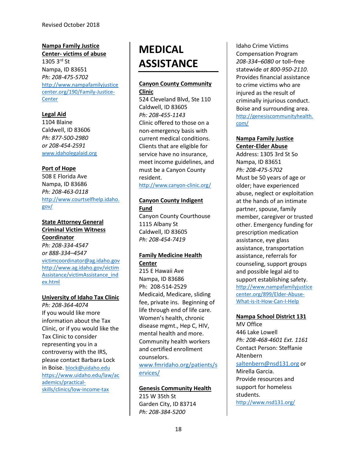#### **Nampa Family Justice Center- victims of abuse**

1305 3rd St Nampa, ID 83651 *Ph: 208-475-5702* [http://www.nampafamilyjustice](http://www.nampafamilyjusticecenter.org/190/Family-Justice-Center) [center.org/190/Family-Justice-](http://www.nampafamilyjusticecenter.org/190/Family-Justice-Center)**[Center](http://www.nampafamilyjusticecenter.org/190/Family-Justice-Center)** 

# **Legal Aid**

1104 Blaine Caldwell, ID 83606 *Ph: 877-500-2980 or 208-454-2591* [www.idaholegalaid.org](http://www.idaholegalaid.org/)

#### **Port of Hope**

508 E Florida Ave Nampa, ID 83686 *Ph: 208-463-0118* [http://www.courtselfhelp.idaho.](http://www.courtselfhelp.idaho.gov/) [gov/](http://www.courtselfhelp.idaho.gov/)

**State Attorney General Criminal Victim Witness Coordinator** *Ph: 208-334-4547 or 888-334–4547* [victimcoordinator@ag.idaho.gov](mailto:victimcoordinator@ag.idaho.gov) [http://www.ag.idaho.gov/victim](http://www.ag.idaho.gov/victimAssistance/victimAssistance_index.html) [Assistance/victimAssistance\\_ind](http://www.ag.idaho.gov/victimAssistance/victimAssistance_index.html) [ex.html](http://www.ag.idaho.gov/victimAssistance/victimAssistance_index.html)

#### **University of Idaho Tax Clinic**

*Ph: 208-364-4074* If you would like more information about the Tax Clinic, or if you would like the Tax Clinic to consider representing you in a controversy with the IRS, please contact Barbara Lock in Boise. [block@uidaho.edu](mailto:block@uidaho.edu) [https://www.uidaho.edu/law/ac](https://www.uidaho.edu/law/academics/practical-skills/clinics/low-income-tax) [ademics/practical](https://www.uidaho.edu/law/academics/practical-skills/clinics/low-income-tax)[skills/clinics/low-income-tax](https://www.uidaho.edu/law/academics/practical-skills/clinics/low-income-tax)

# **MEDICAL ASSISTANCE**

# **Canyon County Community Clinic**

524 Cleveland Blvd, Ste 110 Caldwell, ID 83605 *Ph: 208-455-1143* Clinic offered to those on a non-emergency basis with current medical conditions. Clients that are eligible for service have no insurance, meet income guidelines, and must be a Canyon County resident.

<http://www.canyon-clinic.org/>

#### **Canyon County Indigent Fund**

Canyon County Courthouse 1115 Albany St Caldwell, ID 83605 *Ph: 208-454-7419*

#### **Family Medicine Health Center**

215 E Hawaii Ave Nampa, ID 83686 Ph: 208-514-2529 Medicaid, Medicare, sliding fee, private ins. Beginning of life through end of life care. Women's health, chronic disease mgmt., Hep C, HIV, mental health and more. Community health workers and certified enrollment counselors.

[www.fmridaho.org/patients/s](http://www.fmridaho.org/patients/services/) [ervices/](http://www.fmridaho.org/patients/services/)

# **Genesis Community Health**

215 W 35th St Garden City, ID 83714 *Ph: 208-384-5200*

[Idaho Crime Victims](http://crimevictimcomp.idaho.gov/)  [Compensation Program](http://crimevictimcomp.idaho.gov/) *208-334–6080* or toll–free statewide *at 800-950-2110*. Provides financial assistance to crime victims who are injured as the result of criminally injurious conduct. Boise and surrounding area. [http://genesiscommunityhealth.](http://genesiscommunityhealth.com/) [com/](http://genesiscommunityhealth.com/)

# **Nampa Family Justice Center-Elder Abuse**

Address: 1305 3rd St So Nampa, ID 83651 *Ph: 208-475-5702* Must be 50 years of age or older; have experienced abuse, neglect or exploitation at the hands of an intimate partner, spouse, family member, caregiver or trusted other. Emergency funding for prescription medication assistance, eye glass assistance, transportation assistance, referrals for counseling, support groups and possible legal aid to support establishing safety. [http://www.nampafamilyjustice](http://www.nampafamilyjusticecenter.org/899/Elder-Abuse-What-is-it-How-Can-I-Help) [center.org/899/Elder-Abuse-](http://www.nampafamilyjusticecenter.org/899/Elder-Abuse-What-is-it-How-Can-I-Help)[What-is-it-How-Can-I-Help](http://www.nampafamilyjusticecenter.org/899/Elder-Abuse-What-is-it-How-Can-I-Help)

# **Nampa School District 131**

MV Office 446 Lake Lowell *Ph: 208-468-4601 Ext. 1161* Contact Person: Steffanie Altenbern [saltenbern@nsd131.org](mailto:saltenbern@nsd131.org) or Mirella Garcia. Provide resources and support for homeless students. <http://www.nsd131.org/>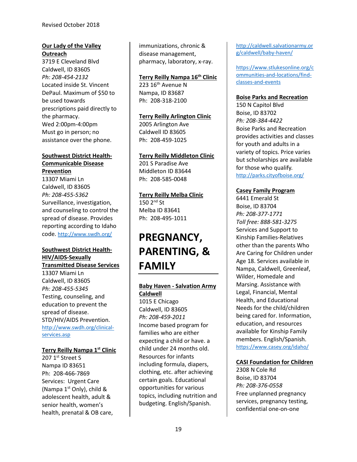# **Our Lady of the Valley Outreach**

3719 E Cleveland Blvd Caldwell, ID 83605 *Ph: 208-454-2132* Located inside St. Vincent DePaul. Maximum of \$50 to be used towards prescriptions paid directly to the pharmacy. Wed 2:00pm-4:00pm Must go in person; no assistance over the phone.

#### **Southwest District Health-Communicable Disease Prevention**

13307 Miami Ln Caldwell, ID 83605 *Ph: 208-455-5362* Surveillance, investigation, and counseling to control the spread of disease. Provides reporting according to Idaho code. <http://www.swdh.org/>

#### **Southwest District Health-HIV/AIDS-Sexually Transmitted Disease Services**

13307 Miami Ln Caldwell, ID 83605 *Ph: 208-455-5345* Testing, counseling, and education to prevent the spread of disease. STD/HIV/AIDS Prevention. [http://www.swdh.org/clinical](http://www.swdh.org/clinical-services.asp)[services.asp](http://www.swdh.org/clinical-services.asp)

#### **Terry Reilly Nampa 1st Clinic**

207 1<sup>st</sup> Street S Nampa ID 83651 Ph: 208-466-7869 Services: Urgent Care (Nampa  $1<sup>st</sup>$  Only), child & adolescent health, adult & senior health, women's health, prenatal & OB care, immunizations, chronic & disease management, pharmacy, laboratory, x-ray.

# **Terry Reilly Nampa 16th Clinic**

 $223$  16<sup>th</sup> Avenue N Nampa, ID 83687 Ph: 208-318-2100

**Terry Reilly Arlington Clinic**  2005 Arlington Ave Caldwell ID 83605 Ph: 208-459-1025

# **Terry Reilly Middleton Clinic**

201 S Paradise Ave Middleton ID 83644 Ph: 208-585-0048

**Terry Reilly Melba Clinic**  $150$   $2<sup>nd</sup>$  St Melba ID 83641 Ph: 208-495-1011

# **PREGNANCY, PARENTING, & FAMILY**

#### **Baby Haven - Salvation Army Caldwell**

1015 E Chicago Caldwell, ID 83605 *Ph: 208-459-2011* Income based program for families who are either expecting a child or have. a child under 24 months old. Resources for infants including formula, diapers, clothing, etc. after achieving certain goals. Educational opportunities for various topics, including nutrition and budgeting. English/Spanish.

[http://caldwell.salvationarmy.or](http://caldwell.salvationarmy.org/caldwell/baby-haven/) [g/caldwell/baby-haven/](http://caldwell.salvationarmy.org/caldwell/baby-haven/)

[https://www.stlukesonline.org/c](https://www.stlukesonline.org/communities-and-locations/find-classes-and-events) [ommunities-and-locations/find](https://www.stlukesonline.org/communities-and-locations/find-classes-and-events)[classes-and-events](https://www.stlukesonline.org/communities-and-locations/find-classes-and-events)

#### **Boise Parks and Recreation**

150 N Capitol Blvd Boise, ID 83702 *Ph: 208-384-4422* Boise Parks and Recreation provides activities and classes for youth and adults in a variety of topics. Price varies but scholarships are available for those who qualify. <http://parks.cityofboise.org/>

## **Casey Family Program**

6441 Emerald St Boise, ID 83704 *Ph: 208-377-1771 Toll free: 888-581-3275* Services and Support to Kinship Families-Relatives other than the parents Who Are Caring for Children under Age 18. Services available in Nampa, Caldwell, Greenleaf, Wilder, Homedale and Marsing. Assistance with Legal, Financial, Mental Health, and Educational Needs for the child/children being cared for. Information, education, and resources available for Kinship Family members. English/Spanish. <https://www.casey.org/idaho/>

#### **CASI Foundation for Children**

2308 N Cole Rd Boise, ID 83704 *Ph: 208-376-0558* Free unplanned pregnancy services, pregnancy testing, confidential one-on-one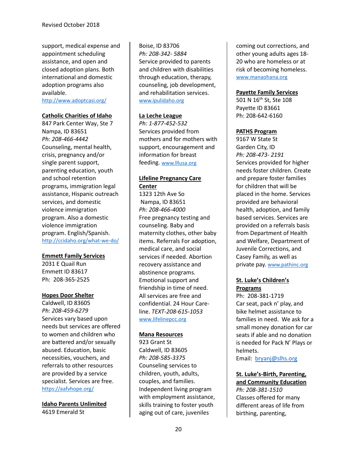support, medical expense and appointment scheduling assistance, and open and closed adoption plans. Both international and domestic adoption programs also available.

<http://www.adoptcasi.org/>

#### **Catholic Charities of Idaho**

847 Park Center Way, Ste 7 Nampa, ID 83651 *Ph: 208-466-4442* Counseling, mental health, crisis, pregnancy and/or single parent support, parenting education, youth and school retention programs, immigration legal assistance, Hispanic outreach services, and domestic violence immigration program. Also a domestic violence immigration program. English/Spanish. <http://ccidaho.org/what-we-do/>

#### **Emmett Family Services**

2031 E Quail Run Emmett ID 83617 Ph: 208-365-2525

#### **Hopes Door Shelter**

Caldwell, ID 83605 *Ph: 208-459-6279* Services vary based upon needs but services are offered to women and children who are battered and/or sexually abused. Education, basic necessities, vouchers, and referrals to other resources are provided by a service specialist. Services are free. <https://aafvhope.org/>

**Idaho Parents Unlimited** 4619 Emerald St

Boise, ID 83706 *Ph: 208-342- 5884* Service provided to parents and children with disabilities through education, therapy, counseling, job development, and rehabilitation services. [www.ipulidaho.org](http://www.ipulidaho.org/)

#### **La Leche League**

*Ph: 1-877-452-532* Services provided from mothers and for mothers with support, encouragement and information for breast feeding. [www.lllusa.org](http://www.lllusa.org/)

### **Lifeline Pregnancy Care Center**

1323 12th Ave So Nampa, ID 83651 *Ph: 208-466-4000* Free pregnancy testing and counseling. Baby and maternity clothes, other baby items. Referrals For adoption, medical care, and social services if needed. Abortion recovery assistance and abstinence programs. Emotional support and friendship in time of need. All services are free and confidential. 24 Hour Careline. *TEXT-208-615-1053* [www.lifelinepcc.org](http://www.lifelinepcc.org/)

#### **Mana Resources**

923 Grant St Caldwell, ID 83605 *Ph: 208-585-3375* Counseling services to children, youth, adults, couples, and families. Independent living program with employment assistance, skills training to foster youth aging out of care, juveniles

coming out corrections, and other young adults ages 18- 20 who are homeless or at risk of becoming homeless. [www.manaohana.org](http://www.manaohana.org/)

### **Payette Family Services**

501 N 16<sup>th</sup> St, Ste 108 Payette ID 83661 Ph: 208-642-6160

#### **PATHS Program**

9167 W State St Garden City, ID *Ph: 208-473- 2191* Services provided for higher needs foster children. Create and prepare foster families for children that will be placed in the home. Services provided are behavioral health, adoption, and family based services. Services are provided on a referrals basis from Department of Health and Welfare, Department of Juvenile Corrections, and Casey Family, as well as private pay. [www.pathinc.org](http://www.pathinc.org/)

## **St. Luke's Children's Programs**

Ph: 208-381-1719 Car seat, pack n' play, and bike helmet assistance to families in need. We ask for a small money donation for car seats if able and no donation is needed for Pack N' Plays or helmets.

Email: [bryanj@slhs.org](mailto:bryanj@slhs.org)

#### **St. Luke's-Birth, Parenting, and Community Education**

*Ph: 208-381-1510* Classes offered for many different areas of life from birthing, parenting,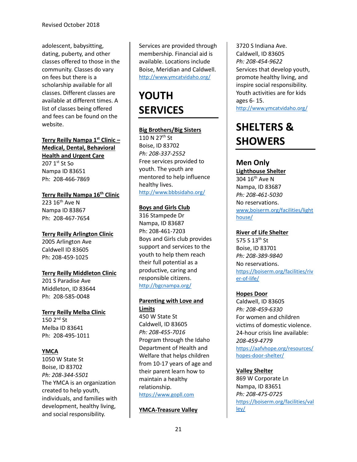adolescent, babysitting, dating, puberty, and other classes offered to those in the community. Classes do vary on fees but there is a scholarship available for all classes. Different classes are available at different times. A list of classes being offered and fees can be found on the website.

**Terry Reilly Nampa 1st Clinic – Medical, Dental, Behavioral Health and Urgent Care** 207 1st St So

Nampa ID 83651 Ph: 208-466-7869

**Terry Reilly Nampa 16th Clinic** 223 16<sup>th</sup> Ave N Nampa ID 83867 Ph: 208-467-7654

**Terry Reilly Arlington Clinic** 2005 Arlington Ave Caldwell ID 83605 Ph: 208-459-1025

**Terry Reilly Middleton Clinic** 201 S Paradise Ave

Middleton, ID 83644 Ph: 208-585-0048

**Terry Reilly Melba Clinic**  $150$   $2<sup>nd</sup>$  St Melba ID 83641 Ph: 208-495-1011

# **YMCA**

1050 W State St Boise, ID 83702 *Ph: 208-344-5501* The YMCA is an organization created to help youth, individuals, and families with development, healthy living, and social responsibility.

Services are provided through membership. Financial aid is available. Locations include Boise, Meridian and Caldwell. <http://www.ymcatvidaho.org/>

# **YOUTH SERVICES**

# **Big Brothers/Big Sisters**

110 N 27<sup>th</sup> St Boise, ID 83702 *Ph: 208-337-2552* Free services provided to youth. The youth are mentored to help influence healthy lives. <http://www.bbbsidaho.org/>

## **Boys and Girls Club**

316 Stampede Dr Nampa, ID 83687 Ph: 208-461-7203 Boys and Girls club provides support and services to the youth to help them reach their full potential as a productive, caring and responsible citizens. <http://bgcnampa.org/>

## **Parenting with Love and Limits**

450 W State St Caldwell, ID 83605 *Ph: 208-455-7016* Program through the Idaho Department of Health and Welfare that helps children from 10-17 years of age and their parent learn how to maintain a healthy relationship. [https://www.gopll.com](https://www.gopll.com/)

# **YMCA-Treasure Valley**

3720 S Indiana Ave. Caldwell, ID 83605 *Ph: 208-454-9622* Services that develop youth, promote healthy living, and inspire social responsibility. Youth activities are for kids ages 6- 15. <http://www.ymcatvidaho.org/>

# **SHELTERS & SHOWERS**

# **Men Only**

**Lighthouse Shelter** 304 16<sup>th</sup> Ave N Nampa, ID 83687 *Ph: 208-461-5030* No reservations[.](https://boiserm.org/facilities/lighthouse/) [www,boiserm.org/facilities/light](https://boiserm.org/facilities/lighthouse/) [house/](https://boiserm.org/facilities/lighthouse/)

# **River of Life Shelter**

575 S 13th St Boise, ID 83701 *Ph: 208-389-9840* No reservations. [https://boiserm.org/facilities/riv](https://boiserm.org/facilities/river-of-life/) [er-of-life/](https://boiserm.org/facilities/river-of-life/)

# **Hopes Door**

Caldwell, ID 83605 *Ph: 208-459-6330* For women and children victims of domestic violence. 24-hour crisis line available: *208-459-4779* [https://aafvhope.org/resources/](https://aafvhope.org/resources/hopes-door-shelter/) [hopes-door-shelter/](https://aafvhope.org/resources/hopes-door-shelter/)

# **Valley Shelter**

869 W Corporate Ln Nampa, ID 83651 *Ph: 208-475-0725* [https://boiserm.org/facilities/val](https://boiserm.org/facilities/valley/) [ley/](https://boiserm.org/facilities/valley/)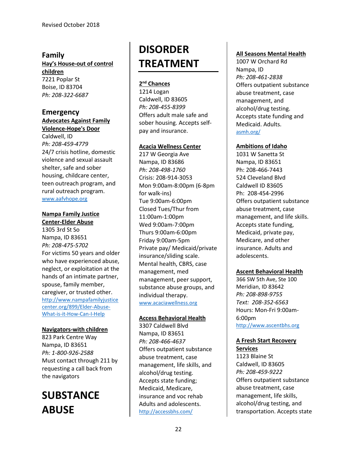# **Family**

**Hay's House-out of control children** 7221 Poplar St Boise, ID 83704

*Ph: 208-322-6687*

#### **Emergency Advocates Against Family**

**Violence-Hope's Door**

Caldwell, ID *Ph: 208-459-4779* 24/7 crisis hotline, domestic violence and sexual assault shelter, safe and sober housing, childcare center, teen outreach program, and rural outreach program. [www.aafvhope.org](http://www.aafvhope.org/)

# **Nampa Family Justice Center-Elder Abuse**

1305 3rd St So Nampa, ID 83651 *Ph: 208-475-5702* For victims 50 years and older who have experienced abuse, neglect, or exploitation at the hands of an intimate partner, spouse, family member, caregiver, or trusted other. [http://www.nampafamilyjustice](http://www.nampafamilyjusticecenter.org/899/Elder-Abuse-What-is-it-How-Can-I-Help) [center.org/899/Elder-Abuse-](http://www.nampafamilyjusticecenter.org/899/Elder-Abuse-What-is-it-How-Can-I-Help)[What-is-it-How-Can-I-Help](http://www.nampafamilyjusticecenter.org/899/Elder-Abuse-What-is-it-How-Can-I-Help)

# **Navigators-with children**

823 Park Centre Way Nampa, ID 83651 *Ph: 1-800-926-2588* Must contact through 211 by requesting a call back from the navigators

# **SUBSTANCE ABUSE**

# **DISORDER TREATMENT**

# **2nd Chances**

1214 Logan Caldwell, ID 83605 *Ph: 208-455-8399* Offers adult male safe and sober housing. Accepts selfpay and insurance.

# **Acacia Wellness Center**

217 W Georgia Ave Nampa, ID 83686 *Ph: 208-498-1760* Crisis: 208-914-3053 Mon 9:00am-8:00pm (6-8pm for walk-ins) Tue 9:00am-6:00pm Closed Tues/Thur from 11:00am-1:00pm Wed 9:00am-7:00pm Thurs 9:00am-6:00pm Friday 9:00am-5pm Private pay/ Medicaid/private insurance/sliding scale. Mental health, CBRS, case management, med management, peer support, substance abuse groups, and individual therapy. [www.acaciawellness.org](http://www.acaciawellness.org/)

# **Access Behavioral Health**

3307 Caldwell Blvd Nampa, ID 83651 *Ph: 208-466-4637* Offers outpatient substance abuse treatment, case management, life skills, and alcohol/drug testing. Accepts state funding; Medicaid, Medicare, insurance and voc rehab Adults and adolescents. <http://accessbhs.com/>

# **All Seasons Mental Health**

1007 W Orchard Rd Nampa, ID *Ph: 208-461-2838* Offers outpatient substance abuse treatment, case management, and alcohol/drug testing. Accepts state funding and Medicaid. Adults. [asmh.org/](http://asmh.org/)

# **Ambitions of Idaho**

1031 W Sanetta St Nampa, ID 83651 Ph: 208-466-7443 524 Cleveland Blvd Caldwell ID 83605 Ph: 208-454-2996 Offers outpatient substance abuse treatment, case management, and life skills. Accepts state funding, Medicaid, private pay, Medicare, and other insurance. Adults and adolescents.

# **Ascent Behavioral Health**

366 SW 5th Ave, Ste 100 Meridian, ID 83642 *Ph: 208-898-9755 Text: 208-352-6563* Hours: Mon-Fri 9:00am-6:00pm [http://www.ascentbhs.org](http://www.ascentbhs.org/)

#### **A Fresh Start Recovery Services**

1123 Blaine St Caldwell, ID 83605 *Ph: 208-459-9222* Offers outpatient substance abuse treatment, case management, life skills, alcohol/drug testing, and transportation. Accepts state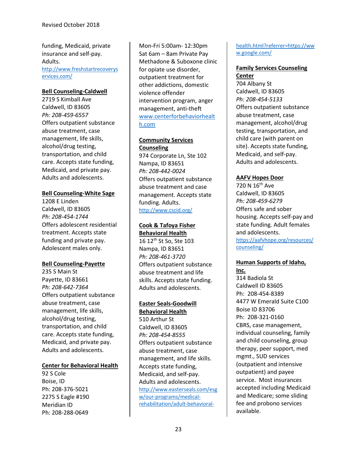funding, Medicaid, private insurance and self-pay. Adults. [http://www.freshstartrecoverys](http://www.freshstartrecoveryservices.com/) [ervices.com/](http://www.freshstartrecoveryservices.com/)

#### **Bell Counseling-Caldwell**

2719 S Kimball Ave Caldwell, ID 83605 *Ph: 208-459-6557* Offers outpatient substance abuse treatment, case management, life skills, alcohol/drug testing, transportation, and child care. Accepts state funding, Medicaid, and private pay. Adults and adolescents.

## **Bell Counseling-White Sage**

1208 E Linden Caldwell, ID 83605 *Ph: 208-454-1744* Offers adolescent residential treatment. Accepts state funding and private pay. Adolescent males only.

#### **Bell Counseling-Payette**

235 S Main St Payette, ID 83661 *Ph: 208-642-7364* Offers outpatient substance abuse treatment, case management, life skills, alcohol/drug testing, transportation, and child care. Accepts state funding, Medicaid, and private pay. Adults and adolescents.

#### **Center for Behavioral Health**

92 S Cole Boise, ID Ph: 208-376-5021 2275 S Eagle #190 Meridian ID Ph: 208-288-0649

Mon-Fri 5:00am- 12:30pm Sat 6am – 8am Private Pay Methadone & Suboxone clinic for opiate use disorder, outpatient treatment for other addictions, domestic violence offender intervention program, anger management, anti-theft [www.centerforbehaviorhealt](http://www.centerforbehaviorhealth.com/) [h.com](http://www.centerforbehaviorhealth.com/)

# **Community Services Counseling**

974 Corporate Ln, Ste 102 Nampa, ID 83651 *Ph: 208-442-0024* Offers outpatient substance abuse treatment and case management. Accepts state funding. Adults. <http://www.cscid.org/>

#### **Cook & Tafoya Fisher Behavioral Health**

16 12th St So, Ste 103 Nampa, ID 83651 *Ph: 208-461-3720* Offers outpatient substance abuse treatment and life skills. Accepts state funding. Adults and adolescents.

#### **Easter Seals-Goodwill Behavioral Health**

510 Arthur St Caldwell, ID 83605 *Ph: 208-454-8555* Offers outpatient substance abuse treatment, case management, and life skills. Accepts state funding, Medicaid, and self-pay. Adults and adolescents. [http://www.easterseals.com/esg](http://www.easterseals.com/esgw/our-programs/medical-rehabilitation/adult-behavioral-health.html?referrer=https://www.google.com/) [w/our-programs/medical](http://www.easterseals.com/esgw/our-programs/medical-rehabilitation/adult-behavioral-health.html?referrer=https://www.google.com/)[rehabilitation/adult-behavioral-](http://www.easterseals.com/esgw/our-programs/medical-rehabilitation/adult-behavioral-health.html?referrer=https://www.google.com/)

## [health.html?referrer=https://ww](http://www.easterseals.com/esgw/our-programs/medical-rehabilitation/adult-behavioral-health.html?referrer=https://www.google.com/) [w.google.com/](http://www.easterseals.com/esgw/our-programs/medical-rehabilitation/adult-behavioral-health.html?referrer=https://www.google.com/)

#### **Family Services Counseling Center**

704 Albany St Caldwell, ID 83605 *Ph: 208-454-5133* Offers outpatient substance abuse treatment, case management, alcohol/drug testing, transportation, and child care (with parent on site). Accepts state funding, Medicaid, and self-pay. Adults and adolescents.

## **AAFV Hopes Door**

720 N 16<sup>th</sup> Ave Caldwell, ID 83605 *Ph: 208-459-6279* Offers safe and sober housing. Accepts self-pay and state funding. Adult females and adolescents. [https://aafvhope.org/resources/](https://aafvhope.org/resources/counseling/) [counseling/](https://aafvhope.org/resources/counseling/)

# **Human Supports of Idaho,**

**Inc.** 314 Badiola St Caldwell ID 83605 Ph: 208-454-8389 4477 W Emerald Suite C100 Boise ID 83706 Ph: 208-321-0160 CBRS, case management, individual counseling, family and child counseling, group therapy, peer support, med mgmt., SUD services (outpatient and intensive outpatient) and payee service. Most insurances accepted including Medicaid and Medicare; some sliding fee and probono services available.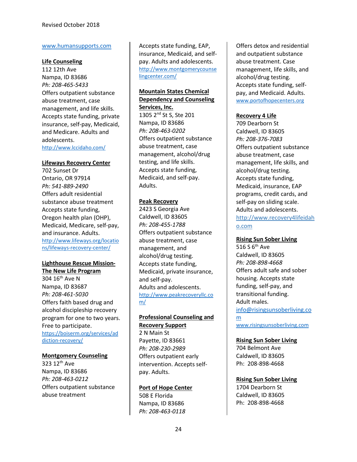#### [www.humansupports.com](http://www.humansupports.com/)

#### **Life Counseling**

112 12th Ave Nampa, ID 83686 *Ph: 208-465-5433* Offers outpatient substance abuse treatment, case management, and life skills. Accepts state funding, private insurance, self-pay, Medicaid, and Medicare. Adults and adolescents. <http://www.lccidaho.com/>

#### **Lifeways Recovery Center**

702 Sunset Dr Ontario, OR 97914 *Ph: 541-889-2490* Offers adult residential substance abuse treatment Accepts state funding, Oregon health plan (OHP), Medicaid, Medicare, self-pay, and insurance. Adults. [http://www.lifeways.org/locatio](http://www.lifeways.org/locations/lifeways-recovery-center/) [ns/lifeways-recovery-center/](http://www.lifeways.org/locations/lifeways-recovery-center/)

# **Lighthouse Rescue Mission-**

**The New Life Program** 304 16<sup>th</sup> Ave N Nampa, ID 83687 *Ph: 208-461-5030* Offers faith based drug and alcohol discipleship recovery program for one to two years. Free to participate. [https://boiserm.org/services/ad](https://boiserm.org/services/addiction-recovery/) [diction-recovery/](https://boiserm.org/services/addiction-recovery/)

#### **Montgomery Counseling**

323 12th Ave Nampa, ID 83686 *Ph: 208-463-0212* Offers outpatient substance abuse treatment

Accepts state funding, EAP, insurance, Medicaid, and selfpay. Adults and adolescents. [http://www.montgomerycounse](http://www.montgomerycounselingcenter.com/) [lingcenter.com/](http://www.montgomerycounselingcenter.com/)

# **Mountain States Chemical Dependency and Counseling Services, Inc.**

1305 2nd St S, Ste 201 Nampa, ID 83686 *Ph: 208-463-0202* Offers outpatient substance abuse treatment, case management, alcohol/drug testing, and life skills. Accepts state funding, Medicaid, and self-pay. Adults.

#### **Peak Recovery**

2423 S Georgia Ave Caldwell, ID 83605 *Ph: 208-455-1788* Offers outpatient substance abuse treatment, case management, and alcohol/drug testing. Accepts state funding, Medicaid, private insurance, and self-pay. Adults and adolescents. [http://www.peakrecoveryllc.co](http://www.peakrecoveryllc.com/) [m/](http://www.peakrecoveryllc.com/)

#### **Professional Counseling and Recovery Support**

2 N Main St Payette, ID 83661 *Ph: 208-230-2989* Offers outpatient early intervention. Accepts selfpay. Adults.

#### **Port of Hope Center**

508 E Florida Nampa, ID 83686 *Ph: 208-463-0118*

Offers detox and residential and outpatient substance abuse treatment. Case management, life skills, and alcohol/drug testing. Accepts state funding, selfpay, and Medicaid. Adults. [www.portofhopecenters.org](http://www.portofhopecenters.org/)

## **Recovery 4 Life**

709 Dearborn St Caldwell, ID 83605 *Ph: 208-376-7083* Offers outpatient substance abuse treatment, case management, life skills, and alcohol/drug testing. Accepts state funding, Medicaid, insurance, EAP programs, credit cards, and self-pay on sliding scale. Adults and adolescents. http://www.recovery4lifeidah o.com

#### **Rising Sun Sober Living**

516 S 6<sup>th</sup> Ave Caldwell, ID 83605 *Ph: 208-898-4668* Offers adult safe and sober housing. Accepts state funding, self-pay, and transitional funding. Adult males. [info@risingsunsoberliving.co](mailto:info@risingsunsoberliving.com) [m](mailto:info@risingsunsoberliving.com) [www.risingsunsoberliving.com](http://www.risingsunsoberliving.com/)

#### **Rising Sun Sober Living**

704 Belmont Ave Caldwell, ID 83605 Ph: 208-898-4668

#### **Rising Sun Sober Living**

1704 Dearborn St Caldwell, ID 83605 Ph: 208-898-4668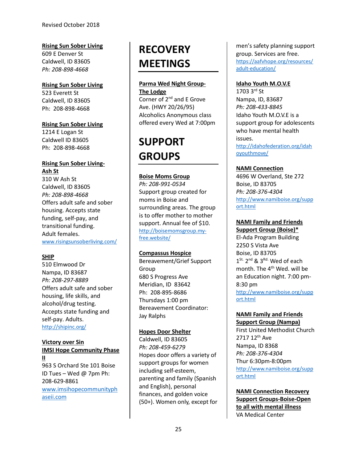# **Rising Sun Sober Living**

609 E Denver St Caldwell, ID 83605 *Ph: 208-898-4668*

# **Rising Sun Sober Living**

523 Everett St Caldwell, ID 83605 Ph: 208-898-4668

## **Rising Sun Sober Living**

1214 E Logan St Caldwell ID 83605 Ph: 208-898-4668

# **Rising Sun Sober Living-Ash St**

310 W Ash St Caldwell, ID 83605 *Ph: 208-898-4668* Offers adult safe and sober housing. Accepts state funding, self-pay, and transitional funding. Adult females. [www.risingsunsoberliving.com/](http://www.risingsunsoberliving.com/)

# **SHIP**

510 Elmwood Dr Nampa, ID 83687 *Ph: 208-297-8889* Offers adult safe and sober housing, life skills, and alcohol/drug testing. Accepts state funding and self-pay. Adults. <http://shipinc.org/>

# **Victory over Sin**

**IMSI Hope Community Phase II**  963 S Orchard Ste 101 Boise ID Tues – Wed @ 7pm Ph: 208-629-8861 [www.imsihopecommunityph](http://www.imsihopecommunityphaseii.com/) [aseii.com](http://www.imsihopecommunityphaseii.com/)

# **RECOVERY MEETINGS**

# **Parma Wed Night Group-**

**The Lodge** Corner of 2<sup>nd</sup> and E Grove Ave. (HWY 20/26/95) Alcoholics Anonymous class offered every Wed at 7:00pm

# **SUPPORT GROUPS**

# **Boise Moms Group**

*Ph: 208-991-0534* Support group created for moms in Boise and surrounding areas. The group is to offer mother to mother support. Annual fee of \$10. [http://boisemomsgroup.my](http://boisemomsgroup.my-free.website/)[free.website/](http://boisemomsgroup.my-free.website/)

# **Compassus Hospice**

Bereavement/Grief Support Group 680 S Progress Ave Meridian, ID 83642 Ph: 208-895-8686 Thursdays 1:00 pm Bereavement Coordinator: Jay Ralphs

# **Hopes Door Shelter**

Caldwell, ID 83605 *Ph: 208-459-6279* Hopes door offers a variety of support groups for women including self-esteem, parenting and family (Spanish and English), personal finances, and golden voice (50+). Women only, except for

men's safety planning support group. Services are free. [https://aafvhope.org/resources/](https://aafvhope.org/resources/adult-education/) [adult-education/](https://aafvhope.org/resources/adult-education/)

# **Idaho Youth M.O.V.E**

 $1703.3^{rd}$  St Nampa, ID, 83687 *Ph: 208-433-8845* Idaho Youth M.O.V.E is a support group for adolescents who have mental health issues. [http://idahofederation.org/idah](http://idahofederation.org/idahoyouthmove/) [oyouthmove/](http://idahofederation.org/idahoyouthmove/)

# **NAMI Connection**

4696 W Overland, Ste 272 Boise, ID 83705 *Ph: 208-376-4304* [http://www.namiboise.org/supp](http://www.namiboise.org/support.html) [ort.html](http://www.namiboise.org/support.html)

# **NAMI Family and Friends**

**Support Group (Boise)\*** El-Ada Program Building 2250 S Vista Ave Boise, ID 83705  $1^{\text{St.}}$  2<sup>nd</sup> & 3<sup>Rd.</sup> Wed of each month. The 4<sup>th</sup> Wed. will be an Education night. 7:00 pm-8:30 pm [http://www.namiboise.org/supp](http://www.namiboise.org/support.html) [ort.html](http://www.namiboise.org/support.html)

## **NAMI Family and Friends Support Group (Nampa)**

First United Methodist Church 2717 12th Ave Nampa, ID 8368 *Ph: 208-376-4304* Thur 6:30pm-8:00pm [http://www.namiboise.org/supp](http://www.namiboise.org/support.html) [ort.html](http://www.namiboise.org/support.html)

**NAMI Connection Recovery Support Groups-Boise-Open to all with mental illness** VA Medical Center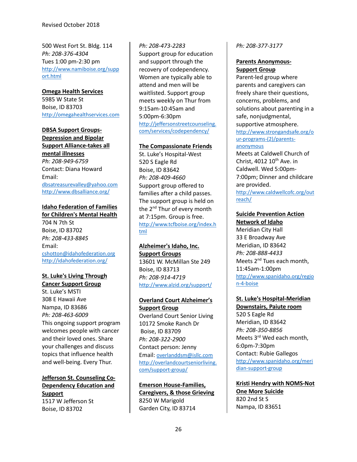500 West Fort St. Bldg. 114 *Ph: 208-376-4304*  Tues 1:00 pm-2:30 pm [http://www.namiboise.org/supp](http://www.namiboise.org/support.html) [ort.html](http://www.namiboise.org/support.html)

**Omega Health Services** 5985 W State St Boise, ID 83703 [http://omegahealthservices.com](http://omegahealthservices.com/)

#### **DBSA Support Groups-**

**Depression and Bipolar Support Alliance-takes all mental illnesses** *Ph: 208-949-6759* Contact: Diana Howard Email: [dbsatreasurevalley@yahoo.com](mailto:dbsatreasurevalley@yahoo.com) <http://www.dbsalliance.org/>

#### **Idaho Federation of Families for Children's Mental Health**

704 N 7th St Boise, ID 83702 *Ph: 208-433-8845* Email: [cshotton@idahofederation.org](mailto:cshotton@idahofederation.org) <http://idahofederation.org/>

#### **St. Luke's Living Through Cancer Support Group**

St. Luke's MSTI 308 E Hawaii Ave Nampa, ID 83686 *Ph: 208-463-6009* This ongoing support program welcomes people with cancer and their loved ones. Share your challenges and discuss topics that influence health and well-being. Every Thur.

## **Jefferson St. Counseling Co-Dependency Education and Support** 1517 W Jefferson St Boise, ID 83702

#### *Ph: 208-473-2283*

Support group for education and support through the recovery of codependency. Women are typically able to attend and men will be waitlisted. Support group meets weekly on Thur from 9:15am-10:45am and 5:00pm-6:30pm [http://jeffersonstreetcounseling.](http://jeffersonstreetcounseling.com/services/codependency/) [com/services/codependency/](http://jeffersonstreetcounseling.com/services/codependency/)

#### **The Compassionate Friends**

St. Luke's Hospital-West 520 S Eagle Rd Boise, ID 83642 *Ph: 208-409-4660* Support group offered to families after a child passes. The support group is held on the 2<sup>nd</sup> Thur of every month at 7:15pm. Group is free. [http://www.tcfboise.org/index.h](http://www.tcfboise.org/index.html) [tml](http://www.tcfboise.org/index.html)

# **Alzheimer's Idaho, Inc.**

**Support Groups** 13601 W. McMillan Ste 249 Boise, ID 83713 *Ph: 208-914-4719* <http://www.alzid.org/support/>

# **Overland Court Alzheimer's Support Group**

Overland Court Senior Living 10172 Smoke Ranch Dr Boise, ID 83709 *Ph: 208-322-2900* Contact person: Jenny Email[: overlanddsm@isllc.com](mailto:overlanddsm@isllc.com) [http://overlandcourtseniorliving.](http://overlandcourtseniorliving.com/support-group/) [com/support-group/](http://overlandcourtseniorliving.com/support-group/)

# **Emerson House-Families,**

**Caregivers, & those Grieving** 8250 W Marigold Garden City, ID 83714

#### *Ph: 208-377-3177*

#### **Parents Anonymous-Support Group**

Parent-led group where parents and caregivers can freely share their questions, concerns, problems, and solutions about parenting in a safe, nonjudgmental, supportive atmosphere. [http://www.strongandsafe.org/o](http://www.strongandsafe.org/our-programs-(2)/parents-anonymous) [ur-programs-\(2\)/parents](http://www.strongandsafe.org/our-programs-(2)/parents-anonymous)[anonymous](http://www.strongandsafe.org/our-programs-(2)/parents-anonymous)

Meets at Caldwell Church of Christ, 4012  $10^{th}$  Ave. in Caldwell. Wed 5:00pm-7:00pm; Dinner and childcare are provided. [http://www.caldwellcofc.org/out](http://www.caldwellcofc.org/outreach/) [reach/](http://www.caldwellcofc.org/outreach/)

# **Suicide Prevention Action**

**Network of Idaho** Meridian City Hall 33 E Broadway Ave Meridian, ID 83642 *Ph: 208-888-4433* Meets 2<sup>nd</sup> Tues each month. 11:45am-1:00pm [http://www.spanidaho.org/regio](http://www.spanidaho.org/region-4-boise) [n-4-boise](http://www.spanidaho.org/region-4-boise)

# **St. Luke's Hospital-Meridian**

**Downstairs, Paiute room** 520 S Eagle Rd Meridian, ID 83642 *Ph: 208-350-8856* Meets 3<sup>rd</sup> Wed each month. 6:0pm-7:30pm Contact: Rubie Gallegos [http://www.spanidaho.org/meri](http://www.spanidaho.org/meridian-support-group) [dian-support-group](http://www.spanidaho.org/meridian-support-group)

**Kristi Hendry with NOMS-Not One More Suicide** 820 2nd St S Nampa, ID 83651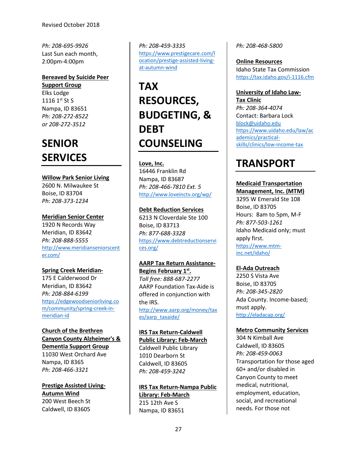*Ph: [208-695-9926](tel:12086959926)* Last Sun each month, 2:00pm-4:00pm

# **Bereaved by Suicide Peer**

**Support Group** Elks Lodge 1116 1st St S Nampa, ID 83651 *Ph: 208-272-8522 or 208-272-3512*

# **SENIOR SERVICES**

### **Willow Park Senior Living**

2600 N. Milwaukee St Boise, ID 83704 *Ph: 208-373-1234*

**Meridian Senior Center** 1920 N Records Way Meridian, ID 83642 *Ph: 208-888-5555* [http://www.meridianseniorscent](http://www.meridianseniorscenter.com/) [er.com/](http://www.meridianseniorscenter.com/)

# **Spring Creek Meridian-**

175 E Calderwood Dr Meridian, ID 83642 *Ph: 208-884-6199* [https://edgewoodseniorliving.co](https://edgewoodseniorliving.com/community/spring-creek-in-meridian-id) [m/community/spring-creek-in](https://edgewoodseniorliving.com/community/spring-creek-in-meridian-id)[meridian-id](https://edgewoodseniorliving.com/community/spring-creek-in-meridian-id)

# **Church of the Brethren Canyon County Alzheimer's & Dementia Support Group**

11030 West Orchard Ave Nampa, ID 8365 *Ph: 208-466-3321*

**Prestige Assisted Living-Autumn Wind** 200 West Beech St Caldwell, ID 83605

*Ph: 208-459-3335* [https://www.prestigecare.com/l](https://www.prestigecare.com/location/prestige-assisted-living-at-autumn-wind) [ocation/prestige-assisted-living](https://www.prestigecare.com/location/prestige-assisted-living-at-autumn-wind)[at-autumn-wind](https://www.prestigecare.com/location/prestige-assisted-living-at-autumn-wind)

# **TAX RESOURCES, BUDGETING, & DEBT COUNSELING**

#### **Love, Inc.**

16446 Franklin Rd Nampa, ID 83687 *Ph: 208-466-7810 Ext. 5* <http://www.loveinctv.org/wp/>

## **Debt Reduction Services**

6213 N Cloverdale Ste 100 Boise, ID 83713 *Ph: 877-688-3328* [https://www.debtreductionservi](https://www.debtreductionservices.org/) [ces.org/](https://www.debtreductionservices.org/)

# **AARP Tax Return Assistance-**

**Begins February 1st.** *Toll free: 888-687-2277* AARP Foundation Tax-Aide is offered in conjunction with the IRS. [http://www.aarp.org/money/tax](http://www.aarp.org/money/taxes/aarp_taxaide/) [es/aarp\\_taxaide/](http://www.aarp.org/money/taxes/aarp_taxaide/)

# **IRS Tax Return-Caldwell**

**Public Library: Feb-March** Caldwell Public Library 1010 Dearborn St Caldwell, ID 83605 *Ph: 208-459-3242*

# **IRS Tax Return-Nampa Public Library: Feb-March** 215 12th Ave S Nampa, ID 83651

*Ph: 208-468-5800*

**Online Resources** Idaho State Tax Commission <https://tax.idaho.gov/i-1116.cfm>

**University of Idaho Law-Tax Clinic** *Ph: 208-364-4074* Contact: Barbara Lock [block@uidaho.edu](mailto:block@uidaho.edu) [https://www.uidaho.edu/law/ac](https://www.uidaho.edu/law/academics/practical-skills/clinics/low-income-tax) [ademics/practical](https://www.uidaho.edu/law/academics/practical-skills/clinics/low-income-tax)[skills/clinics/low-income-tax](https://www.uidaho.edu/law/academics/practical-skills/clinics/low-income-tax)

# **TRANSPORT**

# **Medicaid Transportation**

**Management, Inc. (MTM)** 3295 W Emerald Ste 108 Boise, ID 83705 Hours: 8am to 5pm, M-F *Ph: 877-503-1261* Idaho Medicaid only; must apply first. [https://www.mtm](https://www.mtm-inc.net/idaho/)[inc.net/idaho/](https://www.mtm-inc.net/idaho/)

# **El-Ada Outreach**

2250 S Vista Ave Boise, ID 83705 *Ph: 208-345-2820* Ada County. Income-based; must apply. <http://eladacap.org/>

### **Metro Community Services**

304 N Kimball Ave Caldwell, ID 83605 *Ph: 208-459-0063* Transportation for those aged 60+ and/or disabled in Canyon County to meet medical, nutritional, employment, education, social, and recreational needs. For those not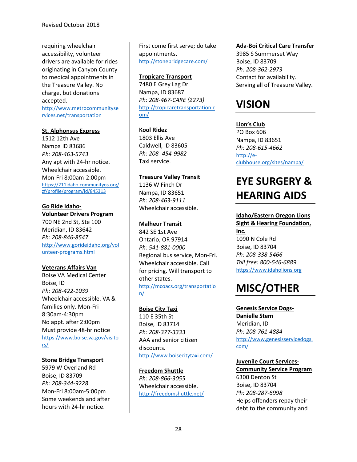requiring wheelchair accessibility, volunteer drivers are available for rides originating in Canyon County to medical appointments in the Treasure Valley. No charge, but donations accepted.

[http://www.metrocommunityse](http://www.metrocommunityservices.net/transportation) [rvices.net/transportation](http://www.metrocommunityservices.net/transportation)

#### **St. Alphonsus Express**

1512 12th Ave Nampa ID 83686 *Ph: 208-463-5743* Any apt with 24-hr notice. Wheelchair accessible. Mon-Fri 8:00am-2:00pm [https://211idaho.communityos.org/](https://211idaho.communityos.org/zf/profile/program/id/845313) [zf/profile/program/id/845313](https://211idaho.communityos.org/zf/profile/program/id/845313)

#### **Go Ride Idaho-Volunteer Drivers Program**

700 NE 2nd St, Ste 100 Meridian, ID 83642 *Ph: 208-846-8547* [http://www.gorideidaho.org/vol](http://www.gorideidaho.org/volunteer-programs.html) [unteer-programs.html](http://www.gorideidaho.org/volunteer-programs.html)

#### **Veterans Affairs Van**

Boise VA Medical Center Boise, ID *Ph: 208-422-1039* Wheelchair accessible. VA & families only. Mon-Fri 8:30am-4:30pm No appt. after 2:00pm Must provide 48-hr notice [https://www.boise.va.gov/visito](https://www.boise.va.gov/visitors/) [rs/](https://www.boise.va.gov/visitors/)

#### **Stone Bridge Transport**

5979 W Overland Rd Boise, ID 83709 *Ph: 208-344-9228* Mon-Fri 8:00am-5:00pm Some weekends and after hours with 24-hr notice.

First come first serve; do take appointments. <http://stonebridgecare.com/>

### **Tropicare Transport**

7480 E Grey Lag Dr Nampa, ID 83687 *Ph: 208-467-CARE (2273)* [http://tropicaretransportation.c](http://tropicaretransportation.com/) [om/](http://tropicaretransportation.com/)

#### **Kool Ridez**

1803 Ellis Ave Caldwell, ID 83605 *Ph: 208- 454-9982* Taxi service.

## **Treasure Valley Transit**

1136 W Finch Dr Nampa, ID 83651 *Ph: 208-463-9111* Wheelchair accessible.

## **Malheur Transit**

842 SE 1st Ave Ontario, OR 97914 *Ph: 541-881-0000* Regional bus service, Mon-Fri. Wheelchair accessible. Call for pricing. Will transport to other states. [http://mcoacs.org/transportatio](http://mcoacs.org/transportation/) [n/](http://mcoacs.org/transportation/)

#### **Boise City Taxi**

110 E 35th St Boise, ID 83714 *Ph: 208-377-3333* AAA and senior citizen discounts. <http://www.boisecitytaxi.com/>

#### **Freedom Shuttle**

*Ph: 208-866-3055* Wheelchair accessible. <http://freedomshuttle.net/>

#### **Ada-Boi Critical Care Transfer**

3985 S Summerset Way Boise, ID 83709 *Ph: 208-362-2973* Contact for availability. Serving all of Treasure Valley.

# **VISION**

**Lion's Club** PO Box 606 Nampa, ID 83651 *Ph: 208-615-4662* [http://e](http://e-clubhouse.org/sites/nampa/)[clubhouse.org/sites/nampa/](http://e-clubhouse.org/sites/nampa/)

# **EYE SURGERY & HEARING AIDS**

# **Idaho/Eastern Oregon Lions**

**Sight & Hearing Foundation, Inc.** 1090 N Cole Rd Boise, ID 83704 *Ph: 208-338-5466 Toll free: 800-546-6889* [https://www.idaholions.org](https://www.idaholions.org/)

# **MISC/OTHER**

**Genesis Service Dogs-Danielle Stem** Meridian, ID *Ph: 208-761-4884* [http://www.genesisservicedogs.](http://www.genesisservicedogs.com/) [com/](http://www.genesisservicedogs.com/)

**Juvenile Court Services-Community Service Program** 6300 Denton St Boise, ID 83704 *Ph: 208-287-6998* Helps offenders repay their debt to the community and